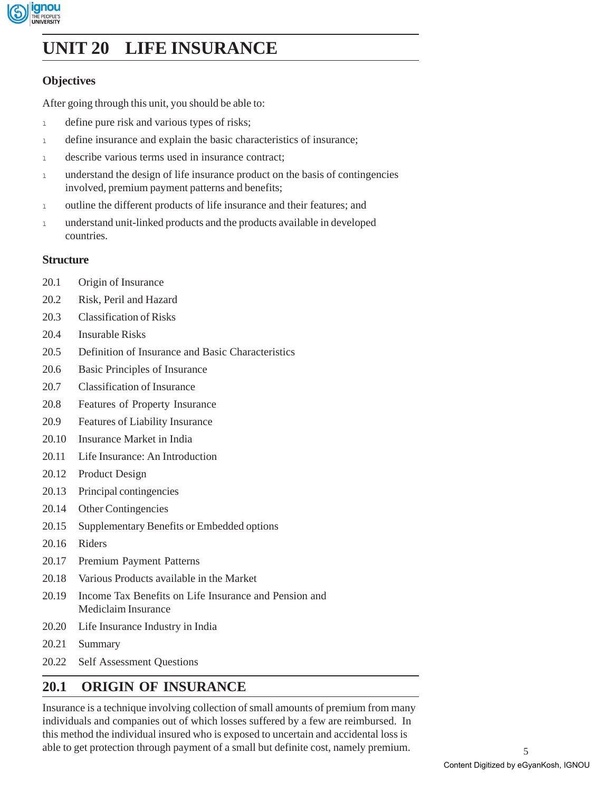

# **UNIT 20 LIFE INSURANCE**

# **Objectives**

After going through this unit, you should be able to:

- 1 define pure risk and various types of risks;
- 1 define insurance and explain the basic characteristics of insurance;
- 1 describe various terms used in insurance contract;
- <sup>l</sup> understand the design of life insurance product on the basis of contingencies involved, premium payment patterns and benefits;
- 1 outline the different products of life insurance and their features; and
- 1 understand unit-linked products and the products available in developed countries.

# **Structure**

- 20.1 Origin of Insurance
- 20.2 Risk, Peril and Hazard
- 20.3 Classification of Risks
- 20.4 Insurable Risks
- 20.5 Definition of Insurance and Basic Characteristics
- 20.6 Basic Principles of Insurance
- 20.7 Classification of Insurance
- 20.8 Features of Property Insurance
- 20.9 Features of Liability Insurance
- 20.10 Insurance Market in India
- 20.11 Life Insurance: An Introduction
- 20.12 Product Design
- 20.13 Principal contingencies
- 20.14 Other Contingencies
- 20.15 Supplementary Benefits or Embedded options
- 20.16 Riders
- 20.17 Premium Payment Patterns
- 20.18 Various Products available in the Market
- 20.19 Income Tax Benefits on Life Insurance and Pension and Mediclaim Insurance
- 20.20 Life Insurance Industry in India
- 20.21 Summary
- 20.22 Self Assessment Questions

# **20.1 ORIGIN OF INSURANCE**

Insurance is a technique involving collection of small amounts of premium from many individuals and companies out of which losses suffered by a few are reimbursed. In this method the individual insured who is exposed to uncertain and accidental loss is able to get protection through payment of a small but definite cost, namely premium.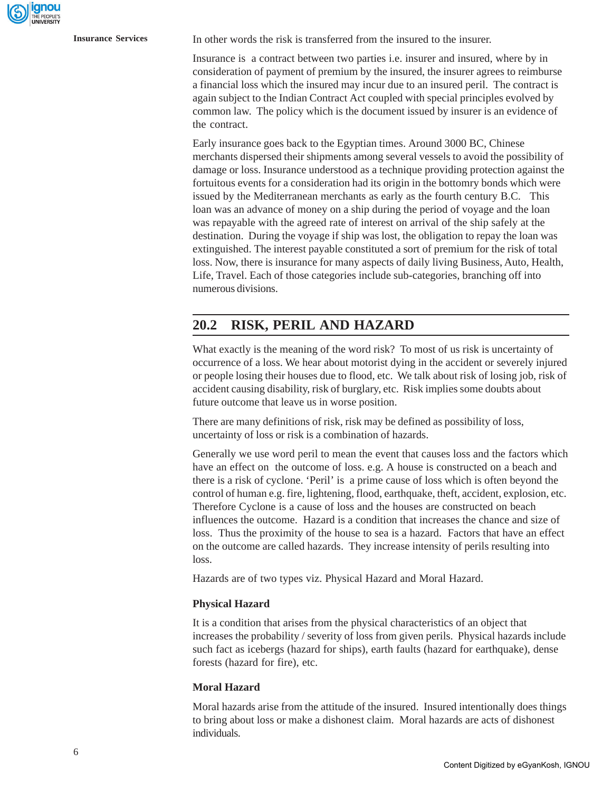**Insurance Services** In other words the risk is transferred from the insured to the insurer.

Insurance is a contract between two parties i.e. insurer and insured, where by in consideration of payment of premium by the insured, the insurer agrees to reimburse a financial loss which the insured may incur due to an insured peril. The contract is again subject to the Indian Contract Act coupled with special principles evolved by common law. The policy which is the document issued by insurer is an evidence of the contract.

Early insurance goes back to the Egyptian times. Around 3000 BC, Chinese merchants dispersed their shipments among several vessels to avoid the possibility of damage or loss. Insurance understood as a technique providing protection against the fortuitous events for a consideration had its origin in the bottomry bonds which were issued by the Mediterranean merchants as early as the fourth century B.C. This loan was an advance of money on a ship during the period of voyage and the loan was repayable with the agreed rate of interest on arrival of the ship safely at the destination. During the voyage if ship was lost, the obligation to repay the loan was extinguished. The interest payable constituted a sort of premium for the risk of total loss. Now, there is insurance for many aspects of daily living Business, Auto, Health, Life, Travel. Each of those categories include sub-categories, branching off into numerous divisions.

# **20.2 RISK, PERIL AND HAZARD**

What exactly is the meaning of the word risk? To most of us risk is uncertainty of occurrence of a loss. We hear about motorist dying in the accident or severely injured or people losing their houses due to flood, etc. We talk about risk of losing job, risk of accident causing disability, risk of burglary, etc. Risk implies some doubts about future outcome that leave us in worse position.

There are many definitions of risk, risk may be defined as possibility of loss, uncertainty of loss or risk is a combination of hazards.

Generally we use word peril to mean the event that causes loss and the factors which have an effect on the outcome of loss. e.g. A house is constructed on a beach and there is a risk of cyclone. 'Peril' is a prime cause of loss which is often beyond the control of human e.g. fire, lightening, flood, earthquake, theft, accident, explosion, etc. Therefore Cyclone is a cause of loss and the houses are constructed on beach influences the outcome. Hazard is a condition that increases the chance and size of loss. Thus the proximity of the house to sea is a hazard. Factors that have an effect on the outcome are called hazards. They increase intensity of perils resulting into loss.

Hazards are of two types viz. Physical Hazard and Moral Hazard.

# **Physical Hazard**

It is a condition that arises from the physical characteristics of an object that increases the probability / severity of loss from given perils. Physical hazards include such fact as icebergs (hazard for ships), earth faults (hazard for earthquake), dense forests (hazard for fire), etc.

# **Moral Hazard**

Moral hazards arise from the attitude of the insured. Insured intentionally does things to bring about loss or make a dishonest claim. Moral hazards are acts of dishonest individuals.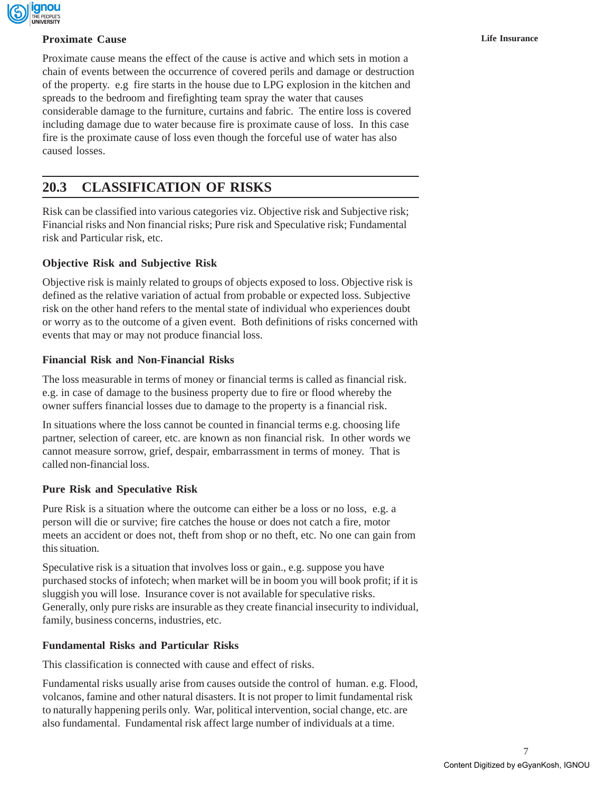

# **Proximate Cause Life Insurance**

Proximate cause means the effect of the cause is active and which sets in motion a chain of events between the occurrence of covered perils and damage or destruction of the property. e.g fire starts in the house due to LPG explosion in the kitchen and spreads to the bedroom and firefighting team spray the water that causes considerable damage to the furniture, curtains and fabric. The entire loss is covered including damage due to water because fire is proximate cause of loss. In this case fire is the proximate cause of loss even though the forceful use of water has also caused losses.

# **20.3 CLASSIFICATION OF RISKS**

Risk can be classified into various categories viz. Objective risk and Subjective risk; Financial risks and Non financial risks; Pure risk and Speculative risk; Fundamental risk and Particular risk, etc.

# **Objective Risk and Subjective Risk**

Objective risk is mainly related to groups of objects exposed to loss. Objective risk is defined as the relative variation of actual from probable or expected loss. Subjective risk on the other hand refers to the mental state of individual who experiences doubt or worry as to the outcome of a given event. Both definitions of risks concerned with events that may or may not produce financial loss.

# **Financial Risk and Non-Financial Risks**

The loss measurable in terms of money or financial terms is called as financial risk. e.g. in case of damage to the business property due to fire or flood whereby the owner suffers financial losses due to damage to the property is a financial risk.

In situations where the loss cannot be counted in financial terms e.g. choosing life partner, selection of career, etc. are known as non financial risk. In other words we cannot measure sorrow, grief, despair, embarrassment in terms of money. That is called non-financial loss.

# **Pure Risk and Speculative Risk**

Pure Risk is a situation where the outcome can either be a loss or no loss, e.g. a person will die or survive; fire catches the house or does not catch a fire, motor meets an accident or does not, theft from shop or no theft, etc. No one can gain from this situation.

Speculative risk is a situation that involves loss or gain., e.g. suppose you have purchased stocks of infotech; when market will be in boom you will book profit; if it is sluggish you will lose. Insurance cover is not available for speculative risks. Generally, only pure risks are insurable as they create financial insecurity to individual, family, business concerns, industries, etc.

# **Fundamental Risks and Particular Risks**

This classification is connected with cause and effect of risks.

Fundamental risks usually arise from causes outside the control of human. e.g. Flood, volcanos, famine and other natural disasters. It is not proper to limit fundamental risk to naturally happening perils only. War, political intervention, social change, etc. are also fundamental. Fundamental risk affect large number of individuals at a time.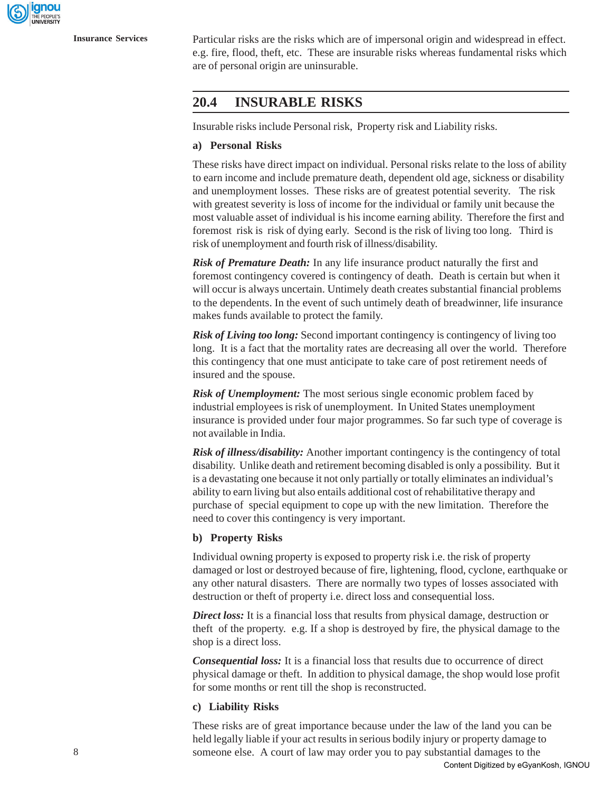

**Insurance Services** Particular risks are the risks which are of impersonal origin and widespread in effect. e.g. fire, flood, theft, etc. These are insurable risks whereas fundamental risks which are of personal origin are uninsurable.

# **20.4 INSURABLE RISKS**

Insurable risks include Personal risk, Property risk and Liability risks.

#### **a) Personal Risks**

These risks have direct impact on individual. Personal risks relate to the loss of ability to earn income and include premature death, dependent old age, sickness or disability and unemployment losses. These risks are of greatest potential severity. The risk with greatest severity is loss of income for the individual or family unit because the most valuable asset of individual is his income earning ability. Therefore the first and foremost risk is risk of dying early. Second is the risk of living too long. Third is risk of unemployment and fourth risk of illness/disability.

*Risk of Premature Death:* In any life insurance product naturally the first and foremost contingency covered is contingency of death. Death is certain but when it will occur is always uncertain. Untimely death creates substantial financial problems to the dependents. In the event of such untimely death of breadwinner, life insurance makes funds available to protect the family.

*Risk of Living too long:* Second important contingency is contingency of living too long. It is a fact that the mortality rates are decreasing all over the world. Therefore this contingency that one must anticipate to take care of post retirement needs of insured and the spouse.

*Risk of Unemployment:* The most serious single economic problem faced by industrial employees is risk of unemployment. In United States unemployment insurance is provided under four major programmes. So far such type of coverage is not available in India.

*Risk of illness/disability:* Another important contingency is the contingency of total disability. Unlike death and retirement becoming disabled is only a possibility. But it is a devastating one because it not only partially or totally eliminates an individual's ability to earn living but also entails additional cost of rehabilitative therapy and purchase of special equipment to cope up with the new limitation. Therefore the need to cover this contingency is very important.

#### **b) Property Risks**

Individual owning property is exposed to property risk i.e. the risk of property damaged or lost or destroyed because of fire, lightening, flood, cyclone, earthquake or any other natural disasters. There are normally two types of losses associated with destruction or theft of property i.e. direct loss and consequential loss.

*Direct loss:* It is a financial loss that results from physical damage, destruction or theft of the property. e.g. If a shop is destroyed by fire, the physical damage to the shop is a direct loss.

*Consequential loss:* It is a financial loss that results due to occurrence of direct physical damage or theft. In addition to physical damage, the shop would lose profit for some months or rent till the shop is reconstructed.

#### **c) Liability Risks**

These risks are of great importance because under the law of the land you can be held legally liable if your act results in serious bodily injury or property damage to someone else. A court of law may order you to pay substantial damages to the Content Digitized by eGyanKosh, IGNOU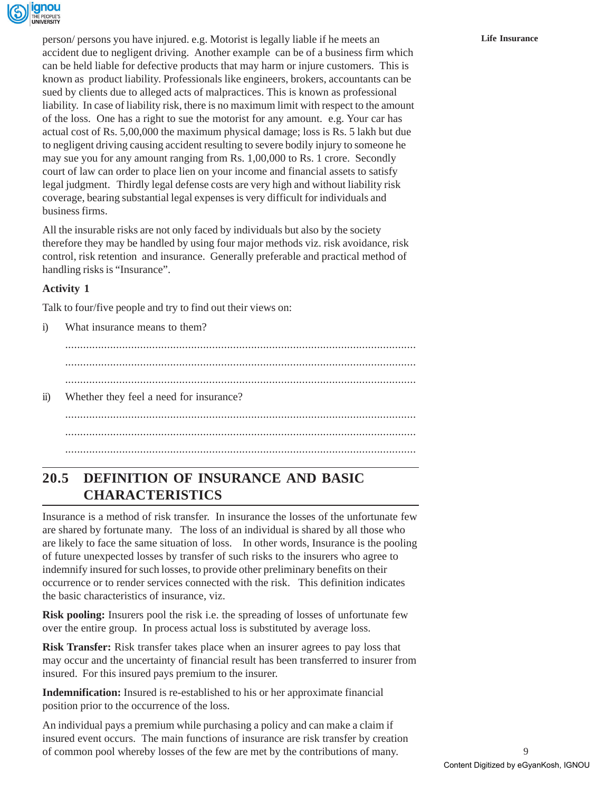

person/ persons you have injured. e.g. Motorist is legally liable if he meets an **Life Insurance** accident due to negligent driving. Another example can be of a business firm which can be held liable for defective products that may harm or injure customers. This is known as product liability. Professionals like engineers, brokers, accountants can be sued by clients due to alleged acts of malpractices. This is known as professional liability. In case of liability risk, there is no maximum limit with respect to the amount of the loss. One has a right to sue the motorist for any amount. e.g. Your car has actual cost of Rs. 5,00,000 the maximum physical damage; loss is Rs. 5 lakh but due to negligent driving causing accident resulting to severe bodily injury to someone he may sue you for any amount ranging from Rs. 1,00,000 to Rs. 1 crore. Secondly court of law can order to place lien on your income and financial assets to satisfy legal judgment. Thirdly legal defense costs are very high and without liability risk coverage, bearing substantial legal expenses is very difficult for individuals and business firms.

All the insurable risks are not only faced by individuals but also by the society therefore they may be handled by using four major methods viz. risk avoidance, risk control, risk retention and insurance. Generally preferable and practical method of handling risks is "Insurance".

# **Activity 1**

Talk to four/five people and try to find out their views on:

i) What insurance means to them?

..................................................................................................................... ..................................................................................................................... ..................................................................................................................... ii) Whether they feel a need for insurance? ..................................................................................................................... ..................................................................................................................... .....................................................................................................................

# **20.5 DEFINITION OF INSURANCE AND BASIC CHARACTERISTICS**

Insurance is a method of risk transfer. In insurance the losses of the unfortunate few are shared by fortunate many. The loss of an individual is shared by all those who are likely to face the same situation of loss. In other words, Insurance is the pooling of future unexpected losses by transfer of such risks to the insurers who agree to indemnify insured for such losses, to provide other preliminary benefits on their occurrence or to render services connected with the risk. This definition indicates the basic characteristics of insurance, viz.

**Risk pooling:** Insurers pool the risk i.e. the spreading of losses of unfortunate few over the entire group. In process actual loss is substituted by average loss.

**Risk Transfer:** Risk transfer takes place when an insurer agrees to pay loss that may occur and the uncertainty of financial result has been transferred to insurer from insured. For this insured pays premium to the insurer.

**Indemnification:** Insured is re-established to his or her approximate financial position prior to the occurrence of the loss.

An individual pays a premium while purchasing a policy and can make a claim if insured event occurs. The main functions of insurance are risk transfer by creation of common pool whereby losses of the few are met by the contributions of many.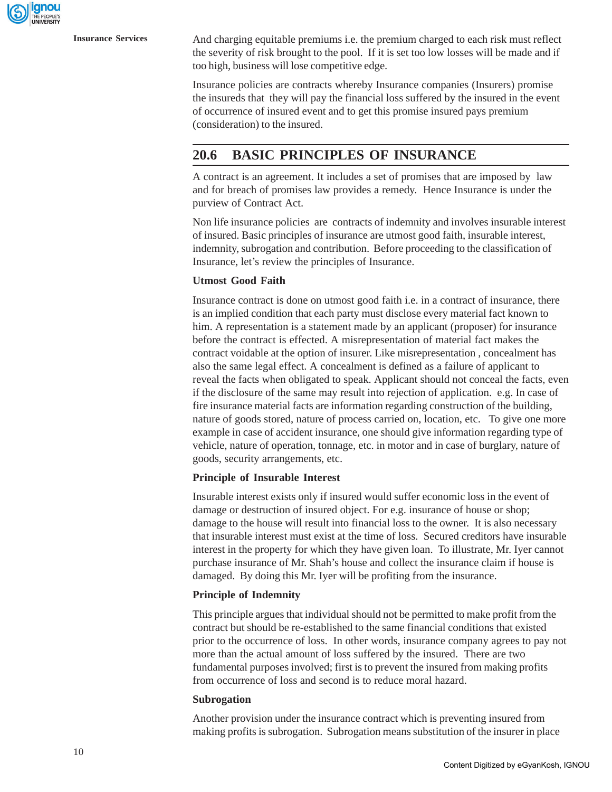

**Insurance Services** And charging equitable premiums i.e. the premium charged to each risk must reflect the severity of risk brought to the pool. If it is set too low losses will be made and if too high, business will lose competitive edge.

> Insurance policies are contracts whereby Insurance companies (Insurers) promise the insureds that they will pay the financial loss suffered by the insured in the event of occurrence of insured event and to get this promise insured pays premium (consideration) to the insured.

# **20.6 BASIC PRINCIPLES OF INSURANCE**

A contract is an agreement. It includes a set of promises that are imposed by law and for breach of promises law provides a remedy. Hence Insurance is under the purview of Contract Act.

Non life insurance policies are contracts of indemnity and involves insurable interest of insured. Basic principles of insurance are utmost good faith, insurable interest, indemnity, subrogation and contribution. Before proceeding to the classification of Insurance, let's review the principles of Insurance.

#### **Utmost Good Faith**

Insurance contract is done on utmost good faith i.e. in a contract of insurance, there is an implied condition that each party must disclose every material fact known to him. A representation is a statement made by an applicant (proposer) for insurance before the contract is effected. A misrepresentation of material fact makes the contract voidable at the option of insurer. Like misrepresentation , concealment has also the same legal effect. A concealment is defined as a failure of applicant to reveal the facts when obligated to speak. Applicant should not conceal the facts, even if the disclosure of the same may result into rejection of application. e.g. In case of fire insurance material facts are information regarding construction of the building, nature of goods stored, nature of process carried on, location, etc. To give one more example in case of accident insurance, one should give information regarding type of vehicle, nature of operation, tonnage, etc. in motor and in case of burglary, nature of goods, security arrangements, etc.

#### **Principle of Insurable Interest**

Insurable interest exists only if insured would suffer economic loss in the event of damage or destruction of insured object. For e.g. insurance of house or shop; damage to the house will result into financial loss to the owner. It is also necessary that insurable interest must exist at the time of loss. Secured creditors have insurable interest in the property for which they have given loan. To illustrate, Mr. Iyer cannot purchase insurance of Mr. Shah's house and collect the insurance claim if house is damaged. By doing this Mr. Iyer will be profiting from the insurance.

#### **Principle of Indemnity**

This principle argues that individual should not be permitted to make profit from the contract but should be re-established to the same financial conditions that existed prior to the occurrence of loss. In other words, insurance company agrees to pay not more than the actual amount of loss suffered by the insured. There are two fundamental purposes involved; first is to prevent the insured from making profits from occurrence of loss and second is to reduce moral hazard.

#### **Subrogation**

Another provision under the insurance contract which is preventing insured from making profits is subrogation. Subrogation means substitution of the insurer in place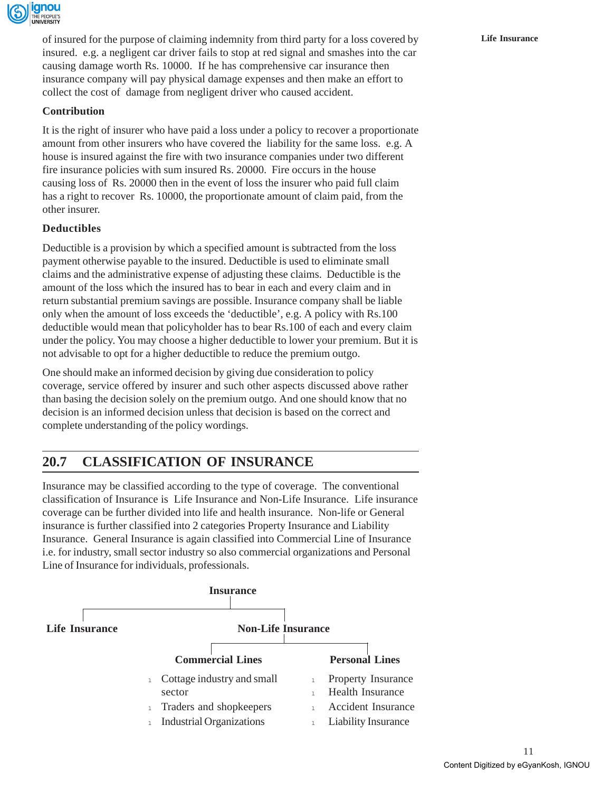

of insured for the purpose of claiming indemnity from third party for a loss covered by **Life Insurance** insured. e.g. a negligent car driver fails to stop at red signal and smashes into the car causing damage worth Rs. 10000. If he has comprehensive car insurance then insurance company will pay physical damage expenses and then make an effort to collect the cost of damage from negligent driver who caused accident.

#### **Contribution**

It is the right of insurer who have paid a loss under a policy to recover a proportionate amount from other insurers who have covered the liability for the same loss. e.g. A house is insured against the fire with two insurance companies under two different fire insurance policies with sum insured Rs. 20000. Fire occurs in the house causing loss of Rs. 20000 then in the event of loss the insurer who paid full claim has a right to recover Rs. 10000, the proportionate amount of claim paid, from the other insurer.

# **Deductibles**

Deductible is a provision by which a specified amount is subtracted from the loss payment otherwise payable to the insured. Deductible is used to eliminate small claims and the administrative expense of adjusting these claims. Deductible is the amount of the loss which the insured has to bear in each and every claim and in return substantial premium savings are possible. Insurance company shall be liable only when the amount of loss exceeds the 'deductible', e.g. A policy with Rs.100 deductible would mean that policyholder has to bear Rs.100 of each and every claim under the policy. You may choose a higher deductible to lower your premium. But it is not advisable to opt for a higher deductible to reduce the premium outgo.

One should make an informed decision by giving due consideration to policy coverage, service offered by insurer and such other aspects discussed above rather than basing the decision solely on the premium outgo. And one should know that no decision is an informed decision unless that decision is based on the correct and complete understanding of the policy wordings.

# **20.7 CLASSIFICATION OF INSURANCE**

Insurance may be classified according to the type of coverage. The conventional classification of Insurance is Life Insurance and Non-Life Insurance. Life insurance coverage can be further divided into life and health insurance. Non-life or General insurance is further classified into 2 categories Property Insurance and Liability Insurance. General Insurance is again classified into Commercial Line of Insurance i.e. for industry, small sector industry so also commercial organizations and Personal Line of Insurance for individuals, professionals.

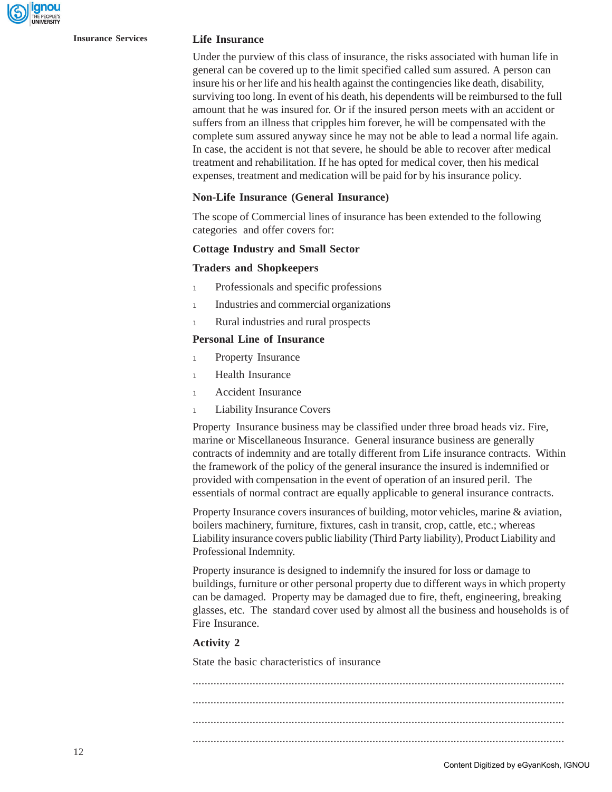# **Insurance Services Life Insurance**

Under the purview of this class of insurance, the risks associated with human life in general can be covered up to the limit specified called sum assured. A person can insure his or her life and his health against the contingencies like death, disability, surviving too long. In event of his death, his dependents will be reimbursed to the full amount that he was insured for. Or if the insured person meets with an accident or suffers from an illness that cripples him forever, he will be compensated with the complete sum assured anyway since he may not be able to lead a normal life again. In case, the accident is not that severe, he should be able to recover after medical treatment and rehabilitation. If he has opted for medical cover, then his medical expenses, treatment and medication will be paid for by his insurance policy.

#### **Non-Life Insurance (General Insurance)**

The scope of Commercial lines of insurance has been extended to the following categories and offer covers for:

#### **Cottage Industry and Small Sector**

#### **Traders and Shopkeepers**

- <sup>l</sup> Professionals and specific professions
- 1 Industries and commercial organizations
- <sup>l</sup> Rural industries and rural prospects

#### **Personal Line of Insurance**

- 1 Property Insurance
- 1 Health Insurance
- 1 Accident Insurance
- 1 Liability Insurance Covers

Property Insurance business may be classified under three broad heads viz. Fire, marine or Miscellaneous Insurance. General insurance business are generally contracts of indemnity and are totally different from Life insurance contracts. Within the framework of the policy of the general insurance the insured is indemnified or provided with compensation in the event of operation of an insured peril. The essentials of normal contract are equally applicable to general insurance contracts.

Property Insurance covers insurances of building, motor vehicles, marine & aviation, boilers machinery, furniture, fixtures, cash in transit, crop, cattle, etc.; whereas Liability insurance covers public liability (Third Party liability), Product Liability and Professional Indemnity.

Property insurance is designed to indemnify the insured for loss or damage to buildings, furniture or other personal property due to different ways in which property can be damaged. Property may be damaged due to fire, theft, engineering, breaking glasses, etc. The standard cover used by almost all the business and households is of Fire Insurance.

#### **Activity 2**

State the basic characteristics of insurance

............................................................................................................................ ............................................................................................................................ ............................................................................................................................ ............................................................................................................................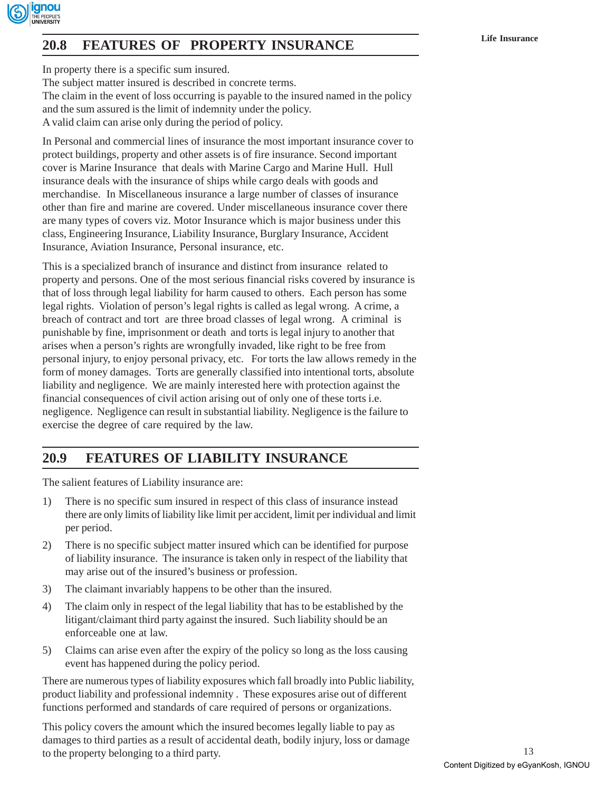

In property there is a specific sum insured.

The subject matter insured is described in concrete terms. The claim in the event of loss occurring is payable to the insured named in the policy and the sum assured is the limit of indemnity under the policy. A valid claim can arise only during the period of policy.

In Personal and commercial lines of insurance the most important insurance cover to protect buildings, property and other assets is of fire insurance. Second important cover is Marine Insurance that deals with Marine Cargo and Marine Hull. Hull insurance deals with the insurance of ships while cargo deals with goods and merchandise. In Miscellaneous insurance a large number of classes of insurance other than fire and marine are covered. Under miscellaneous insurance cover there are many types of covers viz. Motor Insurance which is major business under this class, Engineering Insurance, Liability Insurance, Burglary Insurance, Accident Insurance, Aviation Insurance, Personal insurance, etc.

This is a specialized branch of insurance and distinct from insurance related to property and persons. One of the most serious financial risks covered by insurance is that of loss through legal liability for harm caused to others. Each person has some legal rights. Violation of person's legal rights is called as legal wrong. A crime, a breach of contract and tort are three broad classes of legal wrong. A criminal is punishable by fine, imprisonment or death and torts is legal injury to another that arises when a person's rights are wrongfully invaded, like right to be free from personal injury, to enjoy personal privacy, etc. For torts the law allows remedy in the form of money damages. Torts are generally classified into intentional torts, absolute liability and negligence. We are mainly interested here with protection against the financial consequences of civil action arising out of only one of these torts i.e. negligence. Negligence can result in substantial liability. Negligence is the failure to exercise the degree of care required by the law.

# **20.9 FEATURES OF LIABILITY INSURANCE**

The salient features of Liability insurance are:

- 1) There is no specific sum insured in respect of this class of insurance instead there are only limits of liability like limit per accident, limit per individual and limit per period.
- 2) There is no specific subject matter insured which can be identified for purpose of liability insurance. The insurance is taken only in respect of the liability that may arise out of the insured's business or profession.
- 3) The claimant invariably happens to be other than the insured.
- 4) The claim only in respect of the legal liability that has to be established by the litigant/claimant third party against the insured. Such liability should be an enforceable one at law.
- 5) Claims can arise even after the expiry of the policy so long as the loss causing event has happened during the policy period.

There are numerous types of liability exposures which fall broadly into Public liability, product liability and professional indemnity . These exposures arise out of different functions performed and standards of care required of persons or organizations.

This policy covers the amount which the insured becomes legally liable to pay as damages to third parties as a result of accidental death, bodily injury, loss or damage to the property belonging to a third party.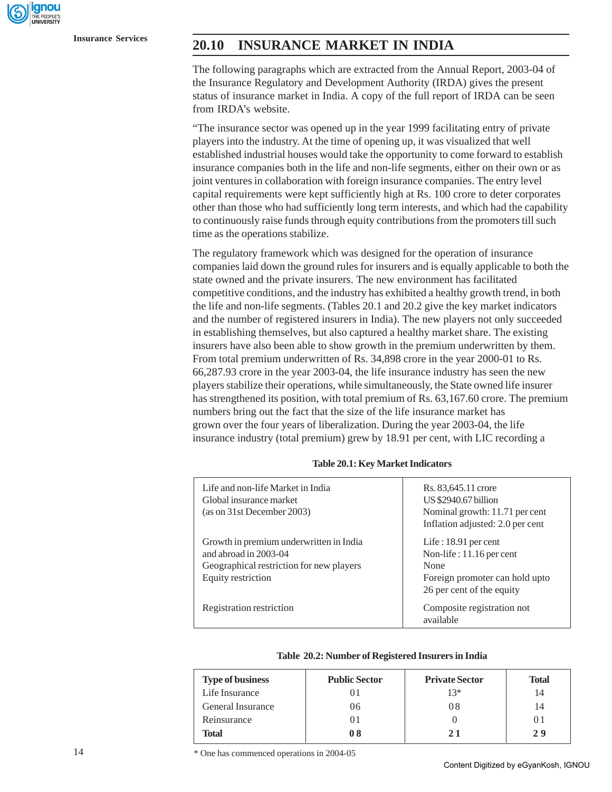# **Insurance Services 20.10 INSURANCE MARKET IN INDIA**

The following paragraphs which are extracted from the Annual Report, 2003-04 of the Insurance Regulatory and Development Authority (IRDA) gives the present status of insurance market in India. A copy of the full report of IRDA can be seen from IRDA's website.

"The insurance sector was opened up in the year 1999 facilitating entry of private players into the industry. At the time of opening up, it was visualized that well established industrial houses would take the opportunity to come forward to establish insurance companies both in the life and non-life segments, either on their own or as joint ventures in collaboration with foreign insurance companies. The entry level capital requirements were kept sufficiently high at Rs. 100 crore to deter corporates other than those who had sufficiently long term interests, and which had the capability to continuously raise funds through equity contributions from the promoters till such time as the operations stabilize.

The regulatory framework which was designed for the operation of insurance companies laid down the ground rules for insurers and is equally applicable to both the state owned and the private insurers. The new environment has facilitated competitive conditions, and the industry has exhibited a healthy growth trend, in both the life and non-life segments. (Tables 20.1 and 20.2 give the key market indicators and the number of registered insurers in India). The new players not only succeeded in establishing themselves, but also captured a healthy market share. The existing insurers have also been able to show growth in the premium underwritten by them. From total premium underwritten of Rs. 34,898 crore in the year 2000-01 to Rs. 66,287.93 crore in the year 2003-04, the life insurance industry has seen the new players stabilize their operations, while simultaneously, the State owned life insurer has strengthened its position, with total premium of Rs. 63,167.60 crore. The premium numbers bring out the fact that the size of the life insurance market has grown over the four years of liberalization. During the year 2003-04, the life insurance industry (total premium) grew by 18.91 per cent, with LIC recording a

| Life and non-life Market in India<br>Global insurance market<br>(as on 31st December 2003)                                         | Rs. 83,645.11 crore<br>US \$2940.67 billion<br>Nominal growth: 11.71 per cent<br>Inflation adjusted: 2.0 per cent         |
|------------------------------------------------------------------------------------------------------------------------------------|---------------------------------------------------------------------------------------------------------------------------|
| Growth in premium underwritten in India<br>and abroad in 2003-04<br>Geographical restriction for new players<br>Equity restriction | Life: $18.91$ per cent<br>Non-life: 11.16 per cent<br>None<br>Foreign promoter can hold upto<br>26 per cent of the equity |
| Registration restriction                                                                                                           | Composite registration not<br>available                                                                                   |

| <b>Type of business</b> | <b>Public Sector</b> | <b>Private Sector</b> | <b>Total</b> |
|-------------------------|----------------------|-----------------------|--------------|
| Life Insurance          |                      | $13*$                 | 14           |
| General Insurance       | 06                   | 08                    | 14           |
| Reinsurance             | O I                  |                       | 01           |
| Total                   | 08                   | 2.1                   | 29           |

\* One has commenced operations in 2004-05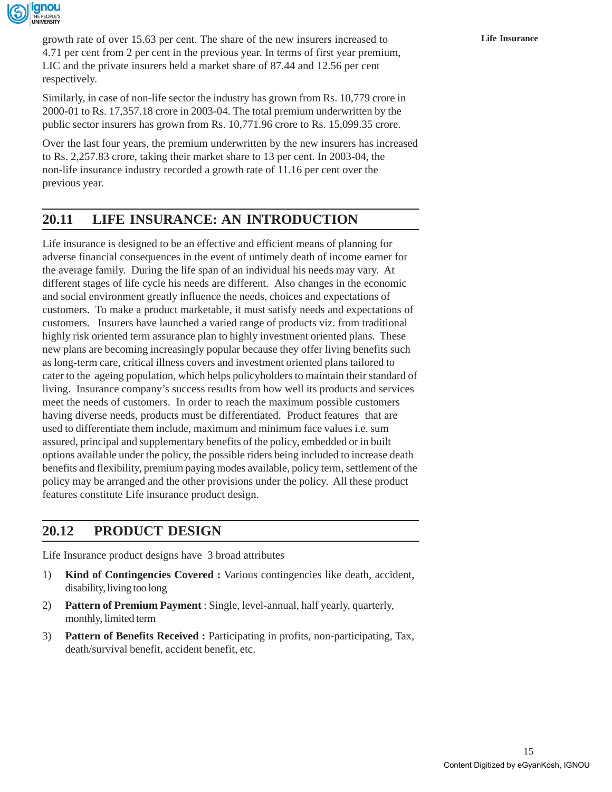

growth rate of over 15.63 per cent. The share of the new insurers increased to **Life Insurance** 4.71 per cent from 2 per cent in the previous year. In terms of first year premium, LIC and the private insurers held a market share of 87.44 and 12.56 per cent respectively.

Similarly, in case of non-life sector the industry has grown from Rs. 10,779 crore in 2000-01 to Rs. 17,357.18 crore in 2003-04. The total premium underwritten by the public sector insurers has grown from Rs. 10,771.96 crore to Rs. 15,099.35 crore.

Over the last four years, the premium underwritten by the new insurers has increased to Rs. 2,257.83 crore, taking their market share to 13 per cent. In 2003-04, the non-life insurance industry recorded a growth rate of 11.16 per cent over the previous year.

# **20.11 LIFE INSURANCE: AN INTRODUCTION**

Life insurance is designed to be an effective and efficient means of planning for adverse financial consequences in the event of untimely death of income earner for the average family. During the life span of an individual his needs may vary. At different stages of life cycle his needs are different. Also changes in the economic and social environment greatly influence the needs, choices and expectations of customers. To make a product marketable, it must satisfy needs and expectations of customers. Insurers have launched a varied range of products viz. from traditional highly risk oriented term assurance plan to highly investment oriented plans. These new plans are becoming increasingly popular because they offer living benefits such as long-term care, critical illness covers and investment oriented plans tailored to cater to the ageing population, which helps policyholders to maintain their standard of living. Insurance company's success results from how well its products and services meet the needs of customers. In order to reach the maximum possible customers having diverse needs, products must be differentiated. Product features that are used to differentiate them include, maximum and minimum face values i.e. sum assured, principal and supplementary benefits of the policy, embedded or in built options available under the policy, the possible riders being included to increase death benefits and flexibility, premium paying modes available, policy term, settlement of the policy may be arranged and the other provisions under the policy. All these product features constitute Life insurance product design.

# **20.12 PRODUCT DESIGN**

Life Insurance product designs have 3 broad attributes

- 1) **Kind of Contingencies Covered :** Various contingencies like death, accident, disability, living too long
- 2) **Pattern of Premium Payment** : Single, level-annual, half yearly, quarterly, monthly, limited term
- 3) **Pattern of Benefits Received :** Participating in profits, non-participating, Tax, death/survival benefit, accident benefit, etc.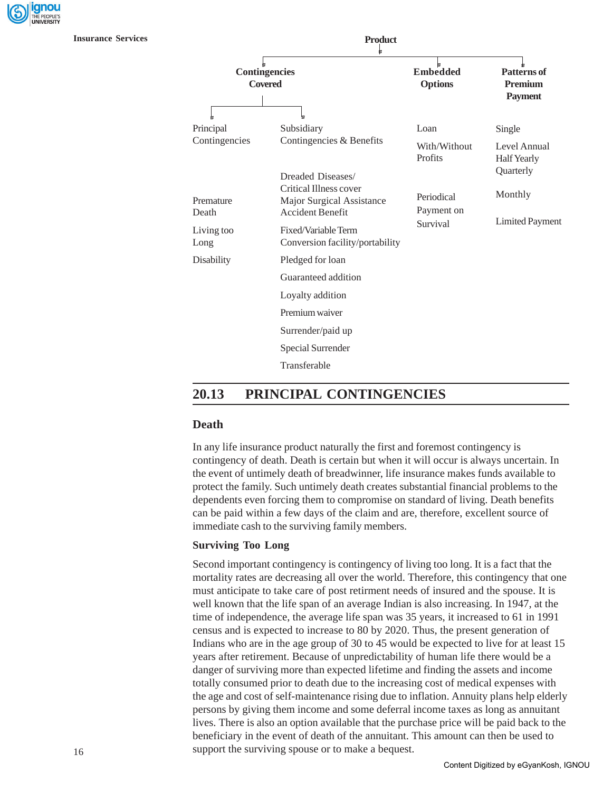

**Insurance Services**

| <b>Product</b>                         |                                                                                                            |                                        |                                                 |  |
|----------------------------------------|------------------------------------------------------------------------------------------------------------|----------------------------------------|-------------------------------------------------|--|
| <b>Contingencies</b><br><b>Covered</b> |                                                                                                            | Þ<br><b>Embedded</b><br><b>Options</b> | Patterns of<br><b>Premium</b><br><b>Payment</b> |  |
| 능<br>Principal                         | ь<br>Subsidiary                                                                                            | Loan                                   | Single                                          |  |
| Contingencies                          | Contingencies & Benefits                                                                                   | With/Without<br>Profits                | Level Annual<br><b>Half Yearly</b>              |  |
| Premature<br>Death                     | Dreaded Diseases/<br><b>Critical Illness cover</b><br>Major Surgical Assistance<br><b>Accident Benefit</b> | Periodical<br>Payment on<br>Survival   | Quarterly<br>Monthly                            |  |
| Living too<br>Long                     | Fixed/Variable Term<br>Conversion facility/portability                                                     |                                        | <b>Limited Payment</b>                          |  |
| Disability                             | Pledged for loan                                                                                           |                                        |                                                 |  |
|                                        | Guaranteed addition                                                                                        |                                        |                                                 |  |
|                                        | Loyalty addition                                                                                           |                                        |                                                 |  |
|                                        | Premium waiver                                                                                             |                                        |                                                 |  |
|                                        | Surrender/paid up                                                                                          |                                        |                                                 |  |
|                                        | <b>Special Surrender</b>                                                                                   |                                        |                                                 |  |
|                                        | Transferable                                                                                               |                                        |                                                 |  |

# **20.13 PRINCIPAL CONTINGENCIES**

# **Death**

In any life insurance product naturally the first and foremost contingency is contingency of death. Death is certain but when it will occur is always uncertain. In the event of untimely death of breadwinner, life insurance makes funds available to protect the family. Such untimely death creates substantial financial problems to the dependents even forcing them to compromise on standard of living. Death benefits can be paid within a few days of the claim and are, therefore, excellent source of immediate cash to the surviving family members.

# **Surviving Too Long**

Second important contingency is contingency of living too long. It is a fact that the mortality rates are decreasing all over the world. Therefore, this contingency that one must anticipate to take care of post retirment needs of insured and the spouse. It is well known that the life span of an average Indian is also increasing. In 1947, at the time of independence, the average life span was 35 years, it increased to 61 in 1991 census and is expected to increase to 80 by 2020. Thus, the present generation of Indians who are in the age group of 30 to 45 would be expected to live for at least 15 years after retirement. Because of unpredictability of human life there would be a danger of surviving more than expected lifetime and finding the assets and income totally consumed prior to death due to the increasing cost of medical expenses with the age and cost of self-maintenance rising due to inflation. Annuity plans help elderly persons by giving them income and some deferral income taxes as long as annuitant lives. There is also an option available that the purchase price will be paid back to the beneficiary in the event of death of the annuitant. This amount can then be used to support the surviving spouse or to make a bequest.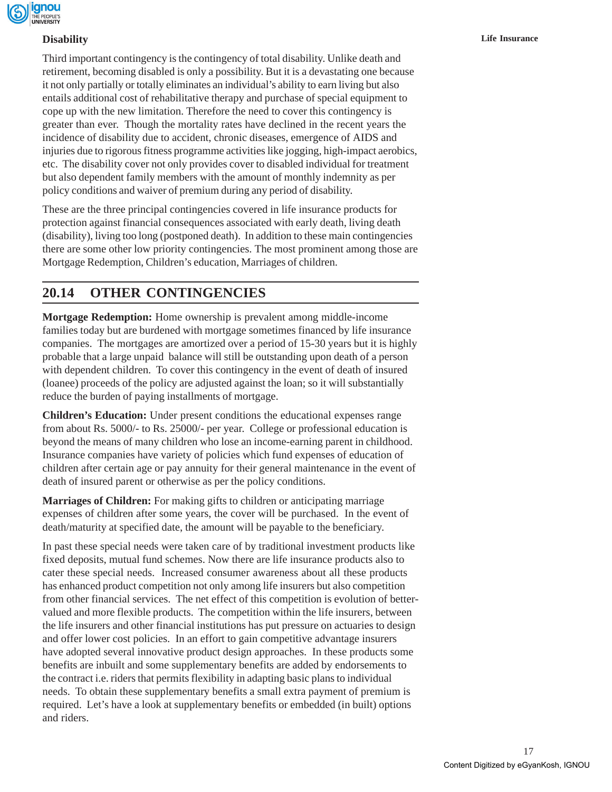# **Disability Life Insurance**

Third important contingency is the contingency of total disability. Unlike death and retirement, becoming disabled is only a possibility. But it is a devastating one because it not only partially or totally eliminates an individual's ability to earn living but also entails additional cost of rehabilitative therapy and purchase of special equipment to cope up with the new limitation. Therefore the need to cover this contingency is greater than ever. Though the mortality rates have declined in the recent years the incidence of disability due to accident, chronic diseases, emergence of AIDS and injuries due to rigorous fitness programme activities like jogging, high-impact aerobics, etc. The disability cover not only provides cover to disabled individual for treatment but also dependent family members with the amount of monthly indemnity as per policy conditions and waiver of premium during any period of disability.

These are the three principal contingencies covered in life insurance products for protection against financial consequences associated with early death, living death (disability), living too long (postponed death). In addition to these main contingencies there are some other low priority contingencies. The most prominent among those are Mortgage Redemption, Children's education, Marriages of children.

# **20.14 OTHER CONTINGENCIES**

**Mortgage Redemption:** Home ownership is prevalent among middle-income families today but are burdened with mortgage sometimes financed by life insurance companies. The mortgages are amortized over a period of 15-30 years but it is highly probable that a large unpaid balance will still be outstanding upon death of a person with dependent children. To cover this contingency in the event of death of insured (loanee) proceeds of the policy are adjusted against the loan; so it will substantially reduce the burden of paying installments of mortgage.

**Children's Education:** Under present conditions the educational expenses range from about Rs. 5000/- to Rs. 25000/- per year. College or professional education is beyond the means of many children who lose an income-earning parent in childhood. Insurance companies have variety of policies which fund expenses of education of children after certain age or pay annuity for their general maintenance in the event of death of insured parent or otherwise as per the policy conditions.

**Marriages of Children:** For making gifts to children or anticipating marriage expenses of children after some years, the cover will be purchased. In the event of death/maturity at specified date, the amount will be payable to the beneficiary.

In past these special needs were taken care of by traditional investment products like fixed deposits, mutual fund schemes. Now there are life insurance products also to cater these special needs. Increased consumer awareness about all these products has enhanced product competition not only among life insurers but also competition from other financial services. The net effect of this competition is evolution of bettervalued and more flexible products. The competition within the life insurers, between the life insurers and other financial institutions has put pressure on actuaries to design and offer lower cost policies. In an effort to gain competitive advantage insurers have adopted several innovative product design approaches. In these products some benefits are inbuilt and some supplementary benefits are added by endorsements to the contract i.e. riders that permits flexibility in adapting basic plans to individual needs. To obtain these supplementary benefits a small extra payment of premium is required. Let's have a look at supplementary benefits or embedded (in built) options and riders.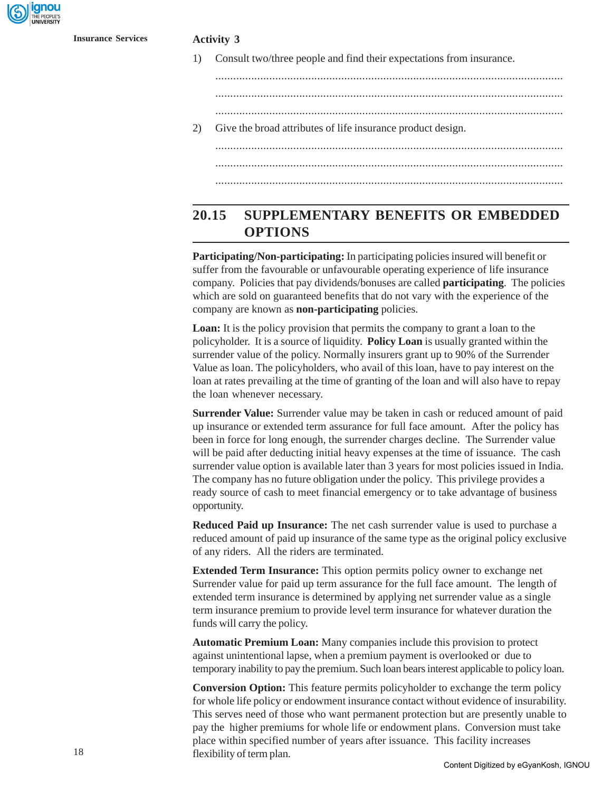1) Consult two/three people and find their expectations from insurance.

....................................................................................................................

- ....................................................................................................................
- 2) Give the broad attributes of life insurance product design.

.................................................................................................................... ....................................................................................................................

....................................................................................................................

# **20.15 SUPPLEMENTARY BENEFITS OR EMBEDDED OPTIONS**

**Participating/Non-participating:** In participating policies insured will benefit or suffer from the favourable or unfavourable operating experience of life insurance company. Policies that pay dividends/bonuses are called **participating**. The policies which are sold on guaranteed benefits that do not vary with the experience of the company are known as **non-participating** policies.

**Loan:** It is the policy provision that permits the company to grant a loan to the policyholder. It is a source of liquidity. **Policy Loan** is usually granted within the surrender value of the policy. Normally insurers grant up to 90% of the Surrender Value as loan. The policyholders, who avail of this loan, have to pay interest on the loan at rates prevailing at the time of granting of the loan and will also have to repay the loan whenever necessary.

**Surrender Value:** Surrender value may be taken in cash or reduced amount of paid up insurance or extended term assurance for full face amount. After the policy has been in force for long enough, the surrender charges decline. The Surrender value will be paid after deducting initial heavy expenses at the time of issuance. The cash surrender value option is available later than 3 years for most policies issued in India. The company has no future obligation under the policy. This privilege provides a ready source of cash to meet financial emergency or to take advantage of business opportunity.

**Reduced Paid up Insurance:** The net cash surrender value is used to purchase a reduced amount of paid up insurance of the same type as the original policy exclusive of any riders. All the riders are terminated.

**Extended Term Insurance:** This option permits policy owner to exchange net Surrender value for paid up term assurance for the full face amount. The length of extended term insurance is determined by applying net surrender value as a single term insurance premium to provide level term insurance for whatever duration the funds will carry the policy.

**Automatic Premium Loan:** Many companies include this provision to protect against unintentional lapse, when a premium payment is overlooked or due to temporary inability to pay the premium. Such loan bears interest applicable to policy loan.

**Conversion Option:** This feature permits policyholder to exchange the term policy for whole life policy or endowment insurance contact without evidence of insurability. This serves need of those who want permanent protection but are presently unable to pay the higher premiums for whole life or endowment plans. Conversion must take place within specified number of years after issuance. This facility increases flexibility of term plan.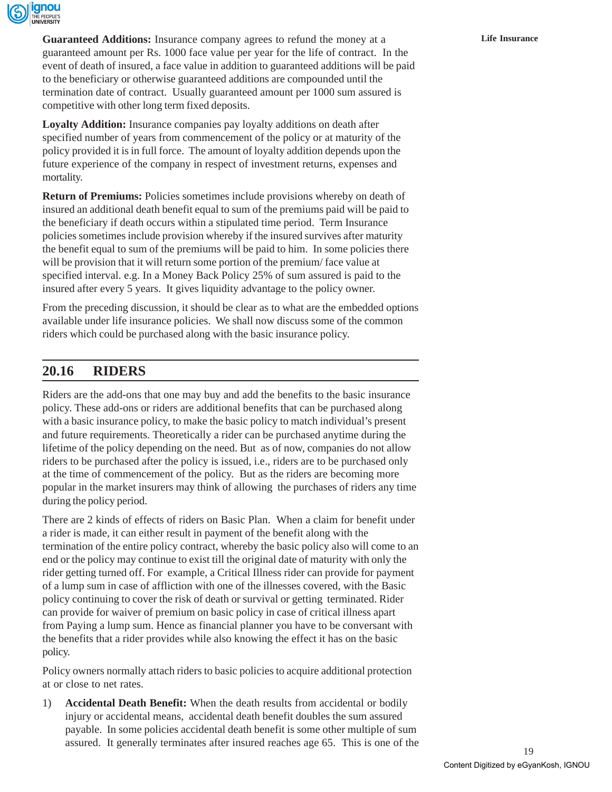

**Guaranteed Additions:** Insurance company agrees to refund the money at a **Life Insurance** guaranteed amount per Rs. 1000 face value per year for the life of contract. In the event of death of insured, a face value in addition to guaranteed additions will be paid to the beneficiary or otherwise guaranteed additions are compounded until the termination date of contract. Usually guaranteed amount per 1000 sum assured is competitive with other long term fixed deposits.

**Loyalty Addition:** Insurance companies pay loyalty additions on death after specified number of years from commencement of the policy or at maturity of the policy provided it is in full force. The amount of loyalty addition depends upon the future experience of the company in respect of investment returns, expenses and mortality.

**Return of Premiums:** Policies sometimes include provisions whereby on death of insured an additional death benefit equal to sum of the premiums paid will be paid to the beneficiary if death occurs within a stipulated time period. Term Insurance policies sometimes include provision whereby if the insured survives after maturity the benefit equal to sum of the premiums will be paid to him. In some policies there will be provision that it will return some portion of the premium/ face value at specified interval. e.g. In a Money Back Policy 25% of sum assured is paid to the insured after every 5 years. It gives liquidity advantage to the policy owner.

From the preceding discussion, it should be clear as to what are the embedded options available under life insurance policies. We shall now discuss some of the common riders which could be purchased along with the basic insurance policy.

# **20.16 RIDERS**

Riders are the add-ons that one may buy and add the benefits to the basic insurance policy. These add-ons or riders are additional benefits that can be purchased along with a basic insurance policy, to make the basic policy to match individual's present and future requirements. Theoretically a rider can be purchased anytime during the lifetime of the policy depending on the need. But as of now, companies do not allow riders to be purchased after the policy is issued, i.e., riders are to be purchased only at the time of commencement of the policy. But as the riders are becoming more popular in the market insurers may think of allowing the purchases of riders any time during the policy period.

There are 2 kinds of effects of riders on Basic Plan. When a claim for benefit under a rider is made, it can either result in payment of the benefit along with the termination of the entire policy contract, whereby the basic policy also will come to an end or the policy may continue to exist till the original date of maturity with only the rider getting turned off. For example, a Critical Illness rider can provide for payment of a lump sum in case of affliction with one of the illnesses covered, with the Basic policy continuing to cover the risk of death or survival or getting terminated. Rider can provide for waiver of premium on basic policy in case of critical illness apart from Paying a lump sum. Hence as financial planner you have to be conversant with the benefits that a rider provides while also knowing the effect it has on the basic policy.

Policy owners normally attach riders to basic policies to acquire additional protection at or close to net rates.

1) **Accidental Death Benefit:** When the death results from accidental or bodily injury or accidental means, accidental death benefit doubles the sum assured payable. In some policies accidental death benefit is some other multiple of sum assured. It generally terminates after insured reaches age 65. This is one of the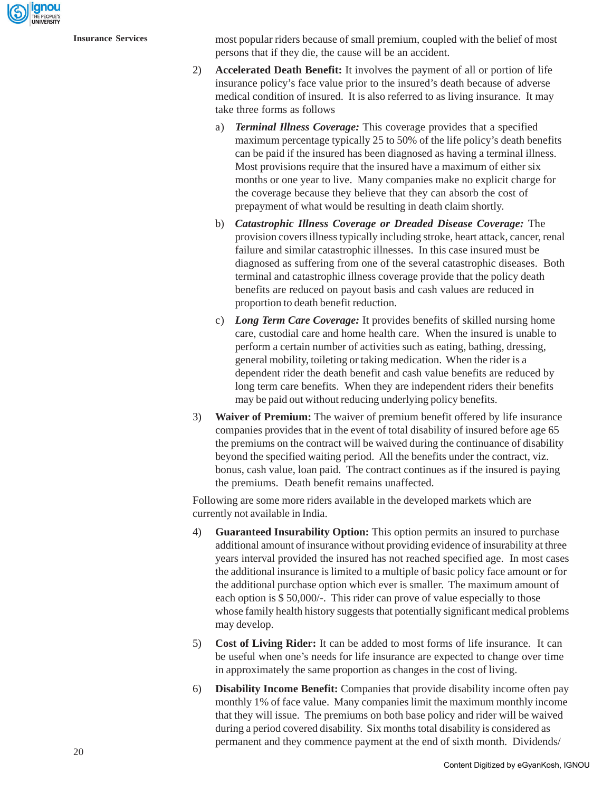ignou

**Insurance Services** most popular riders because of small premium, coupled with the belief of most persons that if they die, the cause will be an accident.

- 2) **Accelerated Death Benefit:** It involves the payment of all or portion of life insurance policy's face value prior to the insured's death because of adverse medical condition of insured. It is also referred to as living insurance. It may take three forms as follows
	- a) *Terminal Illness Coverage:* This coverage provides that a specified maximum percentage typically 25 to 50% of the life policy's death benefits can be paid if the insured has been diagnosed as having a terminal illness. Most provisions require that the insured have a maximum of either six months or one year to live. Many companies make no explicit charge for the coverage because they believe that they can absorb the cost of prepayment of what would be resulting in death claim shortly.
	- b) *Catastrophic Illness Coverage or Dreaded Disease Coverage:* The provision covers illness typically including stroke, heart attack, cancer, renal failure and similar catastrophic illnesses. In this case insured must be diagnosed as suffering from one of the several catastrophic diseases. Both terminal and catastrophic illness coverage provide that the policy death benefits are reduced on payout basis and cash values are reduced in proportion to death benefit reduction.
	- c) *Long Term Care Coverage:* It provides benefits of skilled nursing home care, custodial care and home health care. When the insured is unable to perform a certain number of activities such as eating, bathing, dressing, general mobility, toileting or taking medication. When the rider is a dependent rider the death benefit and cash value benefits are reduced by long term care benefits. When they are independent riders their benefits may be paid out without reducing underlying policy benefits.
- 3) **Waiver of Premium:** The waiver of premium benefit offered by life insurance companies provides that in the event of total disability of insured before age 65 the premiums on the contract will be waived during the continuance of disability beyond the specified waiting period. All the benefits under the contract, viz. bonus, cash value, loan paid. The contract continues as if the insured is paying the premiums. Death benefit remains unaffected.

Following are some more riders available in the developed markets which are currently not available in India.

- 4) **Guaranteed Insurability Option:** This option permits an insured to purchase additional amount of insurance without providing evidence of insurability at three years interval provided the insured has not reached specified age. In most cases the additional insurance is limited to a multiple of basic policy face amount or for the additional purchase option which ever is smaller. The maximum amount of each option is \$ 50,000/-. This rider can prove of value especially to those whose family health history suggests that potentially significant medical problems may develop.
- 5) **Cost of Living Rider:** It can be added to most forms of life insurance. It can be useful when one's needs for life insurance are expected to change over time in approximately the same proportion as changes in the cost of living.
- 6) **Disability Income Benefit:** Companies that provide disability income often pay monthly 1% of face value. Many companies limit the maximum monthly income that they will issue. The premiums on both base policy and rider will be waived during a period covered disability. Six months total disability is considered as permanent and they commence payment at the end of sixth month. Dividends/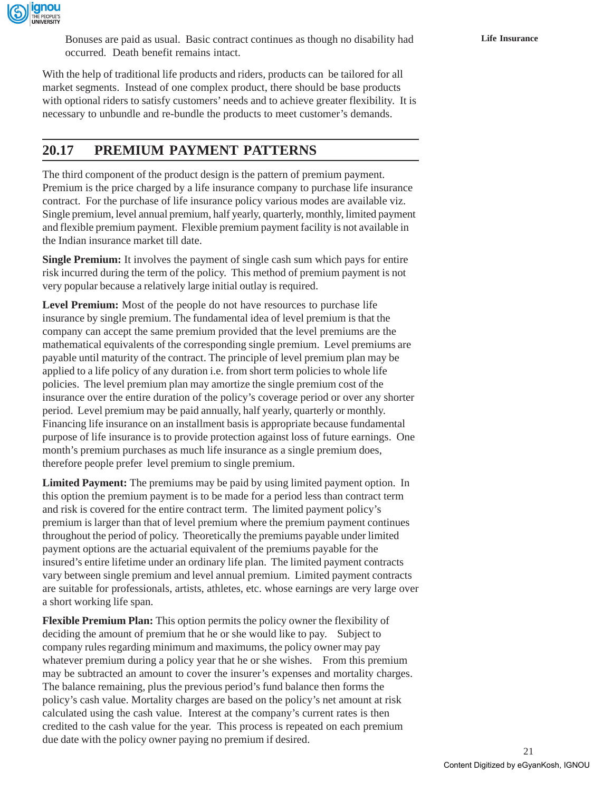

Bonuses are paid as usual. Basic contract continues as though no disability had **Life Insurance** occurred. Death benefit remains intact.

With the help of traditional life products and riders, products can be tailored for all market segments. Instead of one complex product, there should be base products with optional riders to satisfy customers' needs and to achieve greater flexibility. It is necessary to unbundle and re-bundle the products to meet customer's demands.

# **20.17 PREMIUM PAYMENT PATTERNS**

The third component of the product design is the pattern of premium payment. Premium is the price charged by a life insurance company to purchase life insurance contract. For the purchase of life insurance policy various modes are available viz. Single premium, level annual premium, half yearly, quarterly, monthly, limited payment and flexible premium payment. Flexible premium payment facility is not available in the Indian insurance market till date.

**Single Premium:** It involves the payment of single cash sum which pays for entire risk incurred during the term of the policy. This method of premium payment is not very popular because a relatively large initial outlay is required.

**Level Premium:** Most of the people do not have resources to purchase life insurance by single premium. The fundamental idea of level premium is that the company can accept the same premium provided that the level premiums are the mathematical equivalents of the corresponding single premium. Level premiums are payable until maturity of the contract. The principle of level premium plan may be applied to a life policy of any duration i.e. from short term policies to whole life policies. The level premium plan may amortize the single premium cost of the insurance over the entire duration of the policy's coverage period or over any shorter period. Level premium may be paid annually, half yearly, quarterly or monthly. Financing life insurance on an installment basis is appropriate because fundamental purpose of life insurance is to provide protection against loss of future earnings. One month's premium purchases as much life insurance as a single premium does, therefore people prefer level premium to single premium.

**Limited Payment:** The premiums may be paid by using limited payment option. In this option the premium payment is to be made for a period less than contract term and risk is covered for the entire contract term. The limited payment policy's premium is larger than that of level premium where the premium payment continues throughout the period of policy. Theoretically the premiums payable under limited payment options are the actuarial equivalent of the premiums payable for the insured's entire lifetime under an ordinary life plan. The limited payment contracts vary between single premium and level annual premium. Limited payment contracts are suitable for professionals, artists, athletes, etc. whose earnings are very large over a short working life span.

**Flexible Premium Plan:** This option permits the policy owner the flexibility of deciding the amount of premium that he or she would like to pay. Subject to company rules regarding minimum and maximums, the policy owner may pay whatever premium during a policy year that he or she wishes. From this premium may be subtracted an amount to cover the insurer's expenses and mortality charges. The balance remaining, plus the previous period's fund balance then forms the policy's cash value. Mortality charges are based on the policy's net amount at risk calculated using the cash value. Interest at the company's current rates is then credited to the cash value for the year. This process is repeated on each premium due date with the policy owner paying no premium if desired.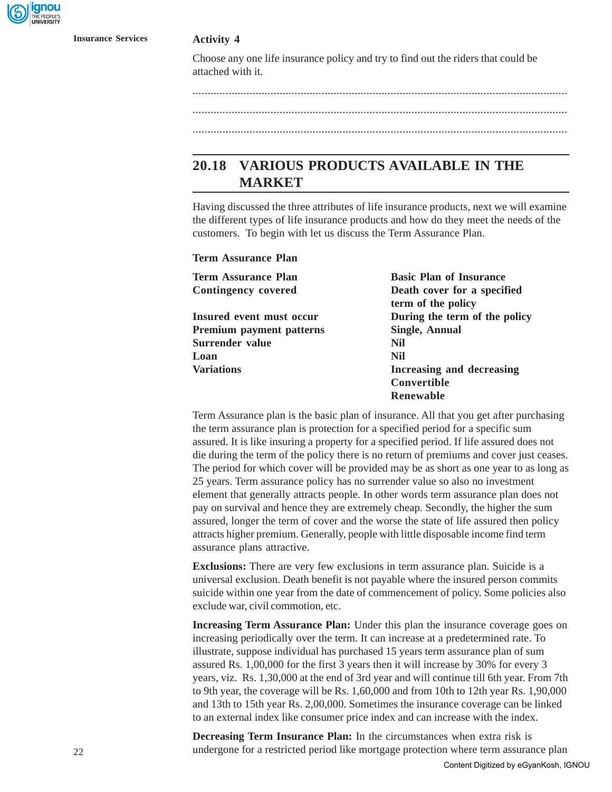

Choose any one life insurance policy and try to find out the riders that could be attached with it.

.............................................................................................................................

.............................................................................................................................

.............................................................................................................................

# **20.18 VARIOUS PRODUCTS AVAILABLE IN THE MARKET**

Having discussed the three attributes of life insurance products, next we will examine the different types of life insurance products and how do they meet the needs of the customers. To begin with let us discuss the Term Assurance Plan.

| Term Assurance Plan             |                                |
|---------------------------------|--------------------------------|
| Term Assurance Plan             | <b>Basic Plan of Insurance</b> |
| <b>Contingency covered</b>      | Death cover for a specified    |
|                                 | term of the policy             |
| <b>Insured event must occur</b> | During the term of the policy  |
| <b>Premium payment patterns</b> | Single, Annual                 |
| Surrender value                 | Nil                            |
| Loan                            | <b>Nil</b>                     |
| <b>Variations</b>               | Increasing and decreasing      |
|                                 | Convertible                    |
|                                 | Renewable                      |

Term Assurance plan is the basic plan of insurance. All that you get after purchasing the term assurance plan is protection for a specified period for a specific sum assured. It is like insuring a property for a specified period. If life assured does not die during the term of the policy there is no return of premiums and cover just ceases. The period for which cover will be provided may be as short as one year to as long as 25 years. Term assurance policy has no surrender value so also no investment element that generally attracts people. In other words term assurance plan does not pay on survival and hence they are extremely cheap. Secondly, the higher the sum assured, longer the term of cover and the worse the state of life assured then policy attracts higher premium. Generally, people with little disposable income find term assurance plans attractive.

**Exclusions:** There are very few exclusions in term assurance plan. Suicide is a universal exclusion. Death benefit is not payable where the insured person commits suicide within one year from the date of commencement of policy. Some policies also exclude war, civil commotion, etc.

**Increasing Term Assurance Plan:** Under this plan the insurance coverage goes on increasing periodically over the term. It can increase at a predetermined rate. To illustrate, suppose individual has purchased 15 years term assurance plan of sum assured Rs. 1,00,000 for the first 3 years then it will increase by 30% for every 3 years, viz. Rs. 1,30,000 at the end of 3rd year and will continue till 6th year. From 7th to 9th year, the coverage will be Rs. 1,60,000 and from 10th to 12th year Rs. 1,90,000 and 13th to 15th year Rs. 2,00,000. Sometimes the insurance coverage can be linked to an external index like consumer price index and can increase with the index.

**Decreasing Term Insurance Plan:** In the circumstances when extra risk is undergone for a restricted period like mortgage protection where term assurance plan Content Digitized by eGyanKosh, IGNOU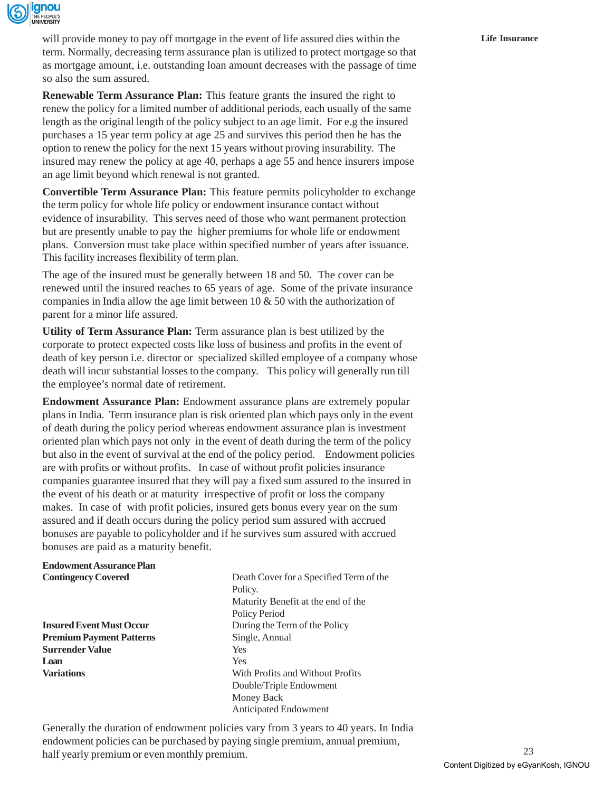

will provide money to pay off mortgage in the event of life assured dies within the **Life Insurance** term. Normally, decreasing term assurance plan is utilized to protect mortgage so that as mortgage amount, i.e. outstanding loan amount decreases with the passage of time so also the sum assured.

**Renewable Term Assurance Plan:** This feature grants the insured the right to renew the policy for a limited number of additional periods, each usually of the same length as the original length of the policy subject to an age limit. For e.g the insured purchases a 15 year term policy at age 25 and survives this period then he has the option to renew the policy for the next 15 years without proving insurability. The insured may renew the policy at age 40, perhaps a age 55 and hence insurers impose an age limit beyond which renewal is not granted.

**Convertible Term Assurance Plan:** This feature permits policyholder to exchange the term policy for whole life policy or endowment insurance contact without evidence of insurability. This serves need of those who want permanent protection but are presently unable to pay the higher premiums for whole life or endowment plans. Conversion must take place within specified number of years after issuance. This facility increases flexibility of term plan.

The age of the insured must be generally between 18 and 50. The cover can be renewed until the insured reaches to 65 years of age. Some of the private insurance companies in India allow the age limit between 10  $\&$  50 with the authorization of parent for a minor life assured.

**Utility of Term Assurance Plan:** Term assurance plan is best utilized by the corporate to protect expected costs like loss of business and profits in the event of death of key person i.e. director or specialized skilled employee of a company whose death will incur substantial losses to the company. This policy will generally run till the employee's normal date of retirement.

**Endowment Assurance Plan:** Endowment assurance plans are extremely popular plans in India. Term insurance plan is risk oriented plan which pays only in the event of death during the policy period whereas endowment assurance plan is investment oriented plan which pays not only in the event of death during the term of the policy but also in the event of survival at the end of the policy period. Endowment policies are with profits or without profits. In case of without profit policies insurance companies guarantee insured that they will pay a fixed sum assured to the insured in the event of his death or at maturity irrespective of profit or loss the company makes. In case of with profit policies, insured gets bonus every year on the sum assured and if death occurs during the policy period sum assured with accrued bonuses are payable to policyholder and if he survives sum assured with accrued bonuses are paid as a maturity benefit.

# **Endowment Assurance Plan**

**Premium Payment Patterns** Single, Annual **Surrender Value** Yes **Loan** Yes

**Contingency Covered** Death Cover for a Specified Term of the Policy. Maturity Benefit at the end of the Policy Period **Insured Event Must Occur** During the Term of the Policy **Variations** With Profits and Without Profits Double/Triple Endowment Money Back Anticipated Endowment

Generally the duration of endowment policies vary from 3 years to 40 years. In India endowment policies can be purchased by paying single premium, annual premium, half yearly premium or even monthly premium.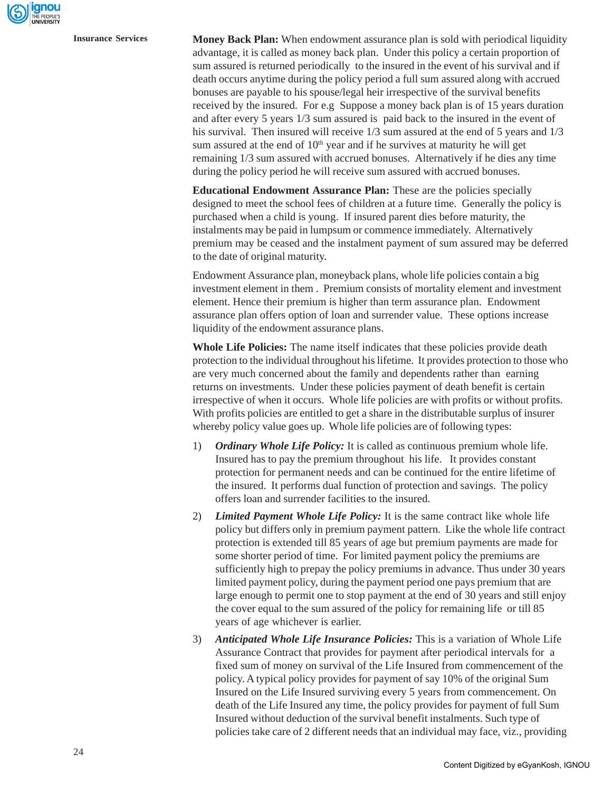

**Insurance Services Money Back Plan:** When endowment assurance plan is sold with periodical liquidity advantage, it is called as money back plan. Under this policy a certain proportion of sum assured is returned periodically to the insured in the event of his survival and if death occurs anytime during the policy period a full sum assured along with accrued bonuses are payable to his spouse/legal heir irrespective of the survival benefits received by the insured. For e.g Suppose a money back plan is of 15 years duration and after every 5 years 1/3 sum assured is paid back to the insured in the event of his survival. Then insured will receive 1/3 sum assured at the end of 5 years and 1/3 sum assured at the end of  $10<sup>th</sup>$  year and if he survives at maturity he will get remaining 1/3 sum assured with accrued bonuses. Alternatively if he dies any time during the policy period he will receive sum assured with accrued bonuses.

> **Educational Endowment Assurance Plan:** These are the policies specially designed to meet the school fees of children at a future time. Generally the policy is purchased when a child is young. If insured parent dies before maturity, the instalments may be paid in lumpsum or commence immediately. Alternatively premium may be ceased and the instalment payment of sum assured may be deferred to the date of original maturity.

Endowment Assurance plan, moneyback plans, whole life policies contain a big investment element in them . Premium consists of mortality element and investment element. Hence their premium is higher than term assurance plan. Endowment assurance plan offers option of loan and surrender value. These options increase liquidity of the endowment assurance plans.

**Whole Life Policies:** The name itself indicates that these policies provide death protection to the individual throughout his lifetime. It provides protection to those who are very much concerned about the family and dependents rather than earning returns on investments. Under these policies payment of death benefit is certain irrespective of when it occurs. Whole life policies are with profits or without profits. With profits policies are entitled to get a share in the distributable surplus of insurer whereby policy value goes up. Whole life policies are of following types:

- 1) *Ordinary Whole Life Policy:* It is called as continuous premium whole life. Insured has to pay the premium throughout his life. It provides constant protection for permanent needs and can be continued for the entire lifetime of the insured. It performs dual function of protection and savings. The policy offers loan and surrender facilities to the insured.
- 2) *Limited Payment Whole Life Policy:* It is the same contract like whole life policy but differs only in premium payment pattern. Like the whole life contract protection is extended till 85 years of age but premium payments are made for some shorter period of time. For limited payment policy the premiums are sufficiently high to prepay the policy premiums in advance. Thus under 30 years limited payment policy, during the payment period one pays premium that are large enough to permit one to stop payment at the end of 30 years and still enjoy the cover equal to the sum assured of the policy for remaining life or till 85 years of age whichever is earlier.
- 3) *Anticipated Whole Life Insurance Policies:* This is a variation of Whole Life Assurance Contract that provides for payment after periodical intervals for a fixed sum of money on survival of the Life Insured from commencement of the policy. A typical policy provides for payment of say 10% of the original Sum Insured on the Life Insured surviving every 5 years from commencement. On death of the Life Insured any time, the policy provides for payment of full Sum Insured without deduction of the survival benefit instalments. Such type of policies take care of 2 different needs that an individual may face, viz., providing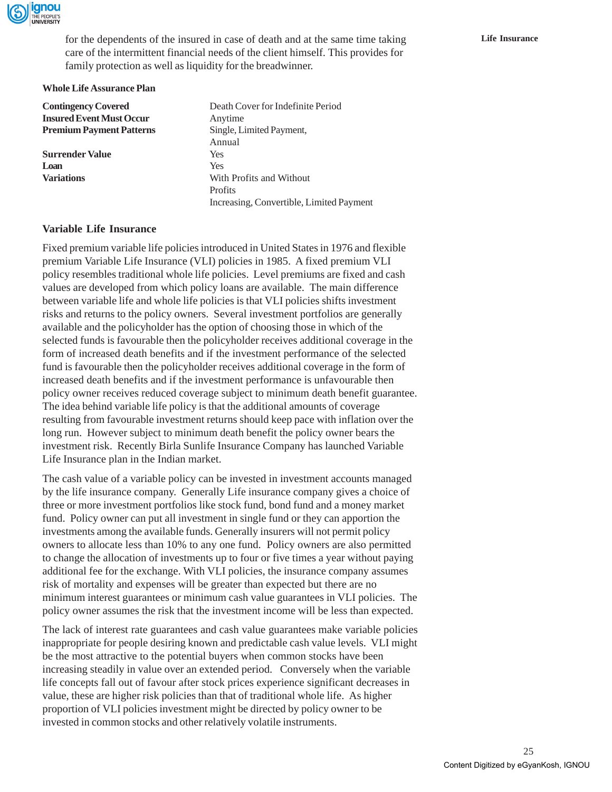

for the dependents of the insured in case of death and at the same time taking **Life Insurance** care of the intermittent financial needs of the client himself. This provides for family protection as well as liquidity for the breadwinner.

#### **Whole Life Assurance Plan**

**Insured Event Must Occur** Anytime **Premium Payment Patterns** Single, Limited Payment,

**Surrender Value** Yes **Loan** Yes

**Contingency Covered** Death Cover for Indefinite Period Annual **Variations** With Profits and Without **Profits** Increasing, Convertible, Limited Payment

#### **Variable Life Insurance**

Fixed premium variable life policies introduced in United States in 1976 and flexible premium Variable Life Insurance (VLI) policies in 1985. A fixed premium VLI policy resembles traditional whole life policies. Level premiums are fixed and cash values are developed from which policy loans are available. The main difference between variable life and whole life policies is that VLI policies shifts investment risks and returns to the policy owners. Several investment portfolios are generally available and the policyholder has the option of choosing those in which of the selected funds is favourable then the policyholder receives additional coverage in the form of increased death benefits and if the investment performance of the selected fund is favourable then the policyholder receives additional coverage in the form of increased death benefits and if the investment performance is unfavourable then policy owner receives reduced coverage subject to minimum death benefit guarantee. The idea behind variable life policy is that the additional amounts of coverage resulting from favourable investment returns should keep pace with inflation over the long run. However subject to minimum death benefit the policy owner bears the investment risk. Recently Birla Sunlife Insurance Company has launched Variable Life Insurance plan in the Indian market.

The cash value of a variable policy can be invested in investment accounts managed by the life insurance company. Generally Life insurance company gives a choice of three or more investment portfolios like stock fund, bond fund and a money market fund. Policy owner can put all investment in single fund or they can apportion the investments among the available funds. Generally insurers will not permit policy owners to allocate less than 10% to any one fund. Policy owners are also permitted to change the allocation of investments up to four or five times a year without paying additional fee for the exchange. With VLI policies, the insurance company assumes risk of mortality and expenses will be greater than expected but there are no minimum interest guarantees or minimum cash value guarantees in VLI policies. The policy owner assumes the risk that the investment income will be less than expected.

The lack of interest rate guarantees and cash value guarantees make variable policies inappropriate for people desiring known and predictable cash value levels. VLI might be the most attractive to the potential buyers when common stocks have been increasing steadily in value over an extended period. Conversely when the variable life concepts fall out of favour after stock prices experience significant decreases in value, these are higher risk policies than that of traditional whole life. As higher proportion of VLI policies investment might be directed by policy owner to be invested in common stocks and other relatively volatile instruments.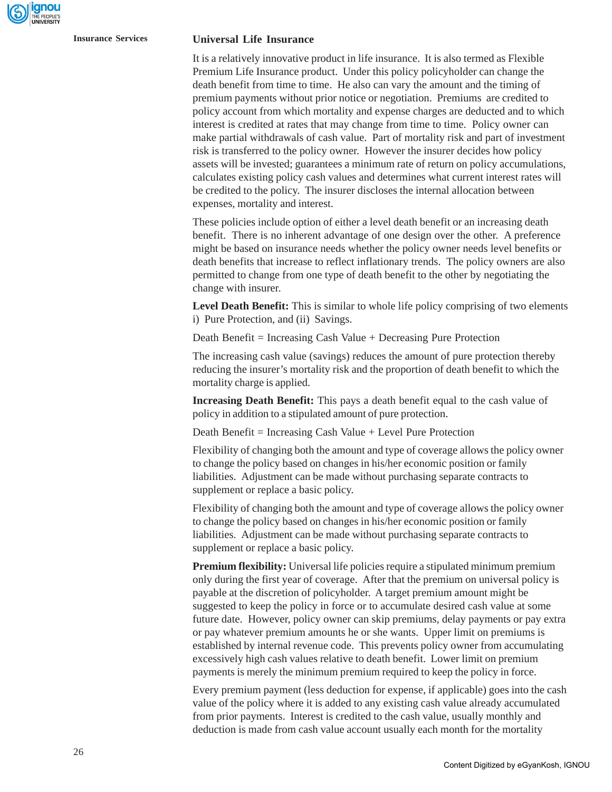#### **Insurance Services Universal Life Insurance**

It is a relatively innovative product in life insurance. It is also termed as Flexible Premium Life Insurance product. Under this policy policyholder can change the death benefit from time to time. He also can vary the amount and the timing of premium payments without prior notice or negotiation. Premiums are credited to policy account from which mortality and expense charges are deducted and to which interest is credited at rates that may change from time to time. Policy owner can make partial withdrawals of cash value. Part of mortality risk and part of investment risk is transferred to the policy owner. However the insurer decides how policy assets will be invested; guarantees a minimum rate of return on policy accumulations, calculates existing policy cash values and determines what current interest rates will be credited to the policy. The insurer discloses the internal allocation between expenses, mortality and interest.

These policies include option of either a level death benefit or an increasing death benefit. There is no inherent advantage of one design over the other. A preference might be based on insurance needs whether the policy owner needs level benefits or death benefits that increase to reflect inflationary trends. The policy owners are also permitted to change from one type of death benefit to the other by negotiating the change with insurer.

**Level Death Benefit:** This is similar to whole life policy comprising of two elements i) Pure Protection, and (ii) Savings.

Death Benefit = Increasing Cash Value + Decreasing Pure Protection

The increasing cash value (savings) reduces the amount of pure protection thereby reducing the insurer's mortality risk and the proportion of death benefit to which the mortality charge is applied.

**Increasing Death Benefit:** This pays a death benefit equal to the cash value of policy in addition to a stipulated amount of pure protection.

Death Benefit = Increasing Cash Value + Level Pure Protection

Flexibility of changing both the amount and type of coverage allows the policy owner to change the policy based on changes in his/her economic position or family liabilities. Adjustment can be made without purchasing separate contracts to supplement or replace a basic policy.

Flexibility of changing both the amount and type of coverage allows the policy owner to change the policy based on changes in his/her economic position or family liabilities. Adjustment can be made without purchasing separate contracts to supplement or replace a basic policy.

**Premium flexibility:** Universal life policies require a stipulated minimum premium only during the first year of coverage. After that the premium on universal policy is payable at the discretion of policyholder. A target premium amount might be suggested to keep the policy in force or to accumulate desired cash value at some future date. However, policy owner can skip premiums, delay payments or pay extra or pay whatever premium amounts he or she wants. Upper limit on premiums is established by internal revenue code. This prevents policy owner from accumulating excessively high cash values relative to death benefit. Lower limit on premium payments is merely the minimum premium required to keep the policy in force.

Every premium payment (less deduction for expense, if applicable) goes into the cash value of the policy where it is added to any existing cash value already accumulated from prior payments. Interest is credited to the cash value, usually monthly and deduction is made from cash value account usually each month for the mortality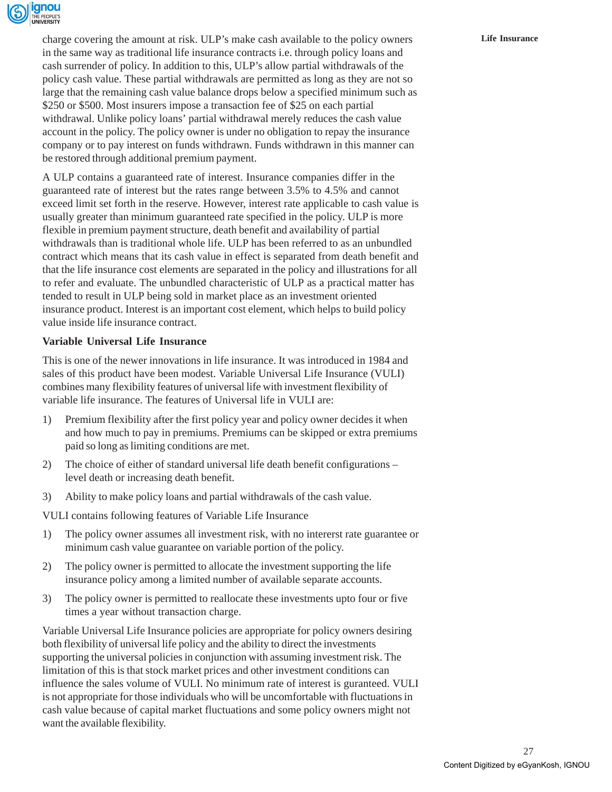

charge covering the amount at risk. ULP's make cash available to the policy owners **Life Insurance** in the same way as traditional life insurance contracts i.e. through policy loans and cash surrender of policy. In addition to this, ULP's allow partial withdrawals of the policy cash value. These partial withdrawals are permitted as long as they are not so large that the remaining cash value balance drops below a specified minimum such as \$250 or \$500. Most insurers impose a transaction fee of \$25 on each partial withdrawal. Unlike policy loans' partial withdrawal merely reduces the cash value account in the policy. The policy owner is under no obligation to repay the insurance company or to pay interest on funds withdrawn. Funds withdrawn in this manner can be restored through additional premium payment.

A ULP contains a guaranteed rate of interest. Insurance companies differ in the guaranteed rate of interest but the rates range between 3.5% to 4.5% and cannot exceed limit set forth in the reserve. However, interest rate applicable to cash value is usually greater than minimum guaranteed rate specified in the policy. ULP is more flexible in premium payment structure, death benefit and availability of partial withdrawals than is traditional whole life. ULP has been referred to as an unbundled contract which means that its cash value in effect is separated from death benefit and that the life insurance cost elements are separated in the policy and illustrations for all to refer and evaluate. The unbundled characteristic of ULP as a practical matter has tended to result in ULP being sold in market place as an investment oriented insurance product. Interest is an important cost element, which helps to build policy value inside life insurance contract.

# **Variable Universal Life Insurance**

This is one of the newer innovations in life insurance. It was introduced in 1984 and sales of this product have been modest. Variable Universal Life Insurance (VULI) combines many flexibility features of universal life with investment flexibility of variable life insurance. The features of Universal life in VULI are:

- 1) Premium flexibility after the first policy year and policy owner decides it when and how much to pay in premiums. Premiums can be skipped or extra premiums paid so long as limiting conditions are met.
- 2) The choice of either of standard universal life death benefit configurations level death or increasing death benefit.
- 3) Ability to make policy loans and partial withdrawals of the cash value.

VULI contains following features of Variable Life Insurance

- 1) The policy owner assumes all investment risk, with no intererst rate guarantee or minimum cash value guarantee on variable portion of the policy.
- 2) The policy owner is permitted to allocate the investment supporting the life insurance policy among a limited number of available separate accounts.
- 3) The policy owner is permitted to reallocate these investments upto four or five times a year without transaction charge.

Variable Universal Life Insurance policies are appropriate for policy owners desiring both flexibility of universal life policy and the ability to direct the investments supporting the universal policies in conjunction with assuming investment risk. The limitation of this is that stock market prices and other investment conditions can influence the sales volume of VULI. No minimum rate of interest is guranteed. VULI is not appropriate for those individuals who will be uncomfortable with fluctuations in cash value because of capital market fluctuations and some policy owners might not want the available flexibility.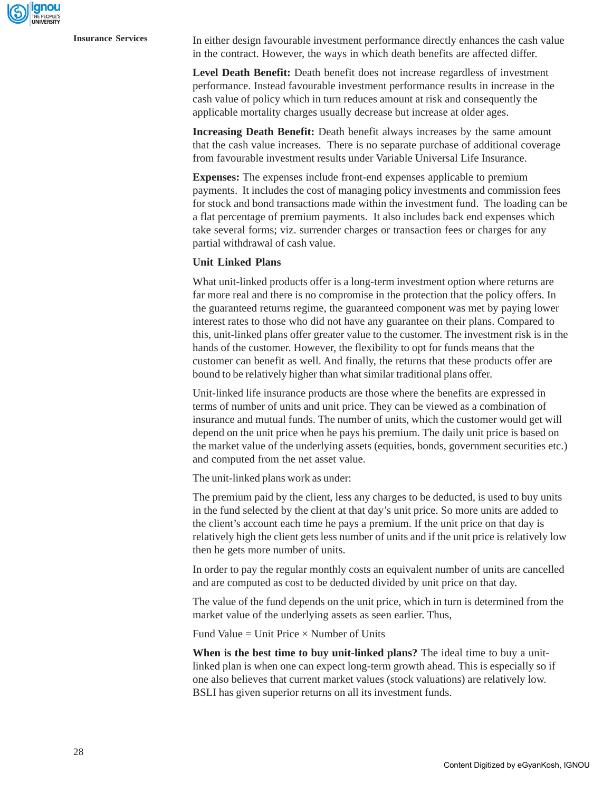**Insurance Services** In either design favourable investment performance directly enhances the cash value in the contract. However, the ways in which death benefits are affected differ.

> **Level Death Benefit:** Death benefit does not increase regardless of investment performance. Instead favourable investment performance results in increase in the cash value of policy which in turn reduces amount at risk and consequently the applicable mortality charges usually decrease but increase at older ages.

**Increasing Death Benefit:** Death benefit always increases by the same amount that the cash value increases. There is no separate purchase of additional coverage from favourable investment results under Variable Universal Life Insurance.

**Expenses:** The expenses include front-end expenses applicable to premium payments. It includes the cost of managing policy investments and commission fees for stock and bond transactions made within the investment fund. The loading can be a flat percentage of premium payments. It also includes back end expenses which take several forms; viz. surrender charges or transaction fees or charges for any partial withdrawal of cash value.

#### **Unit Linked Plans**

What unit-linked products offer is a long-term investment option where returns are far more real and there is no compromise in the protection that the policy offers. In the guaranteed returns regime, the guaranteed component was met by paying lower interest rates to those who did not have any guarantee on their plans. Compared to this, unit-linked plans offer greater value to the customer. The investment risk is in the hands of the customer. However, the flexibility to opt for funds means that the customer can benefit as well. And finally, the returns that these products offer are bound to be relatively higher than what similar traditional plans offer.

Unit-linked life insurance products are those where the benefits are expressed in terms of number of units and unit price. They can be viewed as a combination of insurance and mutual funds. The number of units, which the customer would get will depend on the unit price when he pays his premium. The daily unit price is based on the market value of the underlying assets (equities, bonds, government securities etc.) and computed from the net asset value.

The unit-linked plans work as under:

The premium paid by the client, less any charges to be deducted, is used to buy units in the fund selected by the client at that day's unit price. So more units are added to the client's account each time he pays a premium. If the unit price on that day is relatively high the client gets less number of units and if the unit price is relatively low then he gets more number of units.

In order to pay the regular monthly costs an equivalent number of units are cancelled and are computed as cost to be deducted divided by unit price on that day.

The value of the fund depends on the unit price, which in turn is determined from the market value of the underlying assets as seen earlier. Thus,

Fund Value = Unit Price  $\times$  Number of Units

**When is the best time to buy unit-linked plans?** The ideal time to buy a unitlinked plan is when one can expect long-term growth ahead. This is especially so if one also believes that current market values (stock valuations) are relatively low. BSLI has given superior returns on all its investment funds.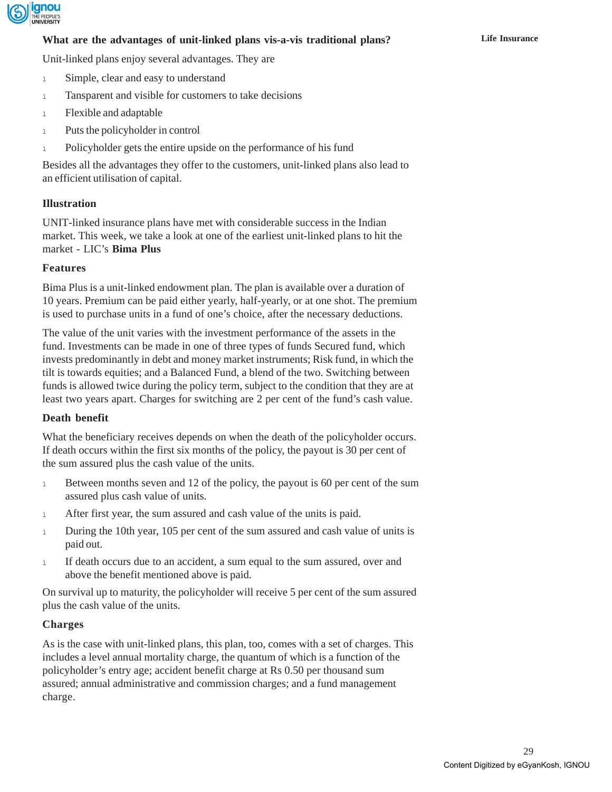

# **What are the advantages of unit-linked plans vis-a-vis traditional plans? Life Insurance**

Unit-linked plans enjoy several advantages. They are

- 1 Simple, clear and easy to understand
- <sup>l</sup> Tansparent and visible for customers to take decisions
- 1 Flexible and adaptable
- <sup>l</sup> Puts the policyholder in control
- 1 Policyholder gets the entire upside on the performance of his fund

Besides all the advantages they offer to the customers, unit-linked plans also lead to an efficient utilisation of capital.

# **Illustration**

UNIT-linked insurance plans have met with considerable success in the Indian market. This week, we take a look at one of the earliest unit-linked plans to hit the market - LIC's **Bima Plus**

# **Features**

Bima Plus is a unit-linked endowment plan. The plan is available over a duration of 10 years. Premium can be paid either yearly, half-yearly, or at one shot. The premium is used to purchase units in a fund of one's choice, after the necessary deductions.

The value of the unit varies with the investment performance of the assets in the fund. Investments can be made in one of three types of funds Secured fund, which invests predominantly in debt and money market instruments; Risk fund, in which the tilt is towards equities; and a Balanced Fund, a blend of the two. Switching between funds is allowed twice during the policy term, subject to the condition that they are at least two years apart. Charges for switching are 2 per cent of the fund's cash value.

# **Death benefit**

What the beneficiary receives depends on when the death of the policyholder occurs. If death occurs within the first six months of the policy, the payout is 30 per cent of the sum assured plus the cash value of the units.

- 1 Between months seven and 12 of the policy, the payout is 60 per cent of the sum assured plus cash value of units.
- <sup>l</sup> After first year, the sum assured and cash value of the units is paid.
- 1 During the 10th year, 105 per cent of the sum assured and cash value of units is paid out.
- <sup>l</sup> If death occurs due to an accident, a sum equal to the sum assured, over and above the benefit mentioned above is paid.

On survival up to maturity, the policyholder will receive 5 per cent of the sum assured plus the cash value of the units.

# **Charges**

As is the case with unit-linked plans, this plan, too, comes with a set of charges. This includes a level annual mortality charge, the quantum of which is a function of the policyholder's entry age; accident benefit charge at Rs 0.50 per thousand sum assured; annual administrative and commission charges; and a fund management charge.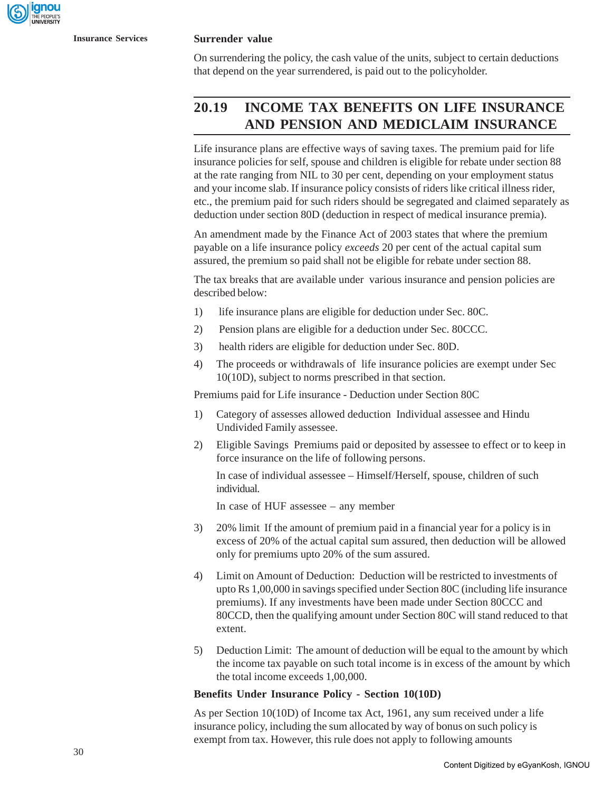#### **Insurance Services Surrender value**

On surrendering the policy, the cash value of the units, subject to certain deductions that depend on the year surrendered, is paid out to the policyholder.

# **20.19 INCOME TAX BENEFITS ON LIFE INSURANCE AND PENSION AND MEDICLAIM INSURANCE**

Life insurance plans are effective ways of saving taxes. The premium paid for life insurance policies for self, spouse and children is eligible for rebate under section 88 at the rate ranging from NIL to 30 per cent, depending on your employment status and your income slab. If insurance policy consists of riders like critical illness rider, etc., the premium paid for such riders should be segregated and claimed separately as deduction under section 80D (deduction in respect of medical insurance premia).

An amendment made by the Finance Act of 2003 states that where the premium payable on a life insurance policy *exceeds* 20 per cent of the actual capital sum assured, the premium so paid shall not be eligible for rebate under section 88.

The tax breaks that are available under various insurance and pension policies are described below:

- 1) life insurance plans are eligible for deduction under Sec. 80C.
- 2) Pension plans are eligible for a deduction under Sec. 80CCC.
- 3) health riders are eligible for deduction under Sec. 80D.
- 4) The proceeds or withdrawals of life insurance policies are exempt under Sec 10(10D), subject to norms prescribed in that section.

Premiums paid for Life insurance - Deduction under Section 80C

- 1) Category of assesses allowed deduction Individual assessee and Hindu Undivided Family assessee.
- 2) Eligible Savings Premiums paid or deposited by assessee to effect or to keep in force insurance on the life of following persons.

In case of individual assessee – Himself/Herself, spouse, children of such individual.

In case of HUF assessee – any member

- 3) 20% limit If the amount of premium paid in a financial year for a policy is in excess of 20% of the actual capital sum assured, then deduction will be allowed only for premiums upto 20% of the sum assured.
- 4) Limit on Amount of Deduction: Deduction will be restricted to investments of upto Rs 1,00,000 in savings specified under Section 80C (including life insurance premiums). If any investments have been made under Section 80CCC and 80CCD, then the qualifying amount under Section 80C will stand reduced to that extent.
- 5) Deduction Limit: The amount of deduction will be equal to the amount by which the income tax payable on such total income is in excess of the amount by which the total income exceeds 1,00,000.

#### **Benefits Under Insurance Policy - Section 10(10D)**

As per Section 10(10D) of Income tax Act, 1961, any sum received under a life insurance policy, including the sum allocated by way of bonus on such policy is exempt from tax. However, this rule does not apply to following amounts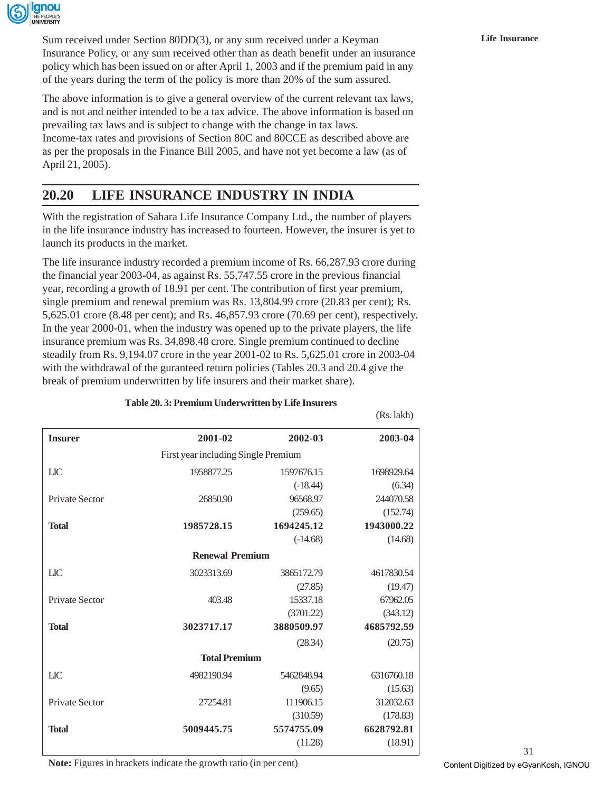

Sum received under Section 80DD(3), or any sum received under a Keyman **Life Insurance** Insurance Policy, or any sum received other than as death benefit under an insurance policy which has been issued on or after April 1, 2003 and if the premium paid in any of the years during the term of the policy is more than 20% of the sum assured.

The above information is to give a general overview of the current relevant tax laws, and is not and neither intended to be a tax advice. The above information is based on prevailing tax laws and is subject to change with the change in tax laws.

Income-tax rates and provisions of Section 80C and 80CCE as described above are as per the proposals in the Finance Bill 2005, and have not yet become a law (as of April 21, 2005).

# **20.20 LIFE INSURANCE INDUSTRY IN INDIA**

With the registration of Sahara Life Insurance Company Ltd., the number of players in the life insurance industry has increased to fourteen. However, the insurer is yet to launch its products in the market.

The life insurance industry recorded a premium income of Rs. 66,287.93 crore during the financial year 2003-04, as against Rs. 55,747.55 crore in the previous financial year, recording a growth of 18.91 per cent. The contribution of first year premium, single premium and renewal premium was Rs. 13,804.99 crore (20.83 per cent); Rs. 5,625.01 crore (8.48 per cent); and Rs. 46,857.93 crore (70.69 per cent), respectively. In the year 2000-01, when the industry was opened up to the private players, the life insurance premium was Rs. 34,898.48 crore. Single premium continued to decline steadily from Rs. 9,194.07 crore in the year 2001-02 to Rs. 5,625.01 crore in 2003-04 with the withdrawal of the guranteed return policies (Tables 20.3 and 20.4 give the break of premium underwritten by life insurers and their market share).

|                      |                                     |            | (Rs. lakh) |  |
|----------------------|-------------------------------------|------------|------------|--|
| <b>Insurer</b>       | 2001-02                             | 2002-03    | 2003-04    |  |
|                      | First year including Single Premium |            |            |  |
| LIC                  | 1958877.25                          | 1597676.15 | 1698929.64 |  |
|                      |                                     | $(-18.44)$ | (6.34)     |  |
| Private Sector       | 26850.90                            | 96568.97   | 244070.58  |  |
|                      |                                     | (259.65)   | (152.74)   |  |
| <b>Total</b>         | 1985728.15                          | 1694245.12 | 1943000.22 |  |
|                      |                                     | $(-14.68)$ | (14.68)    |  |
|                      | <b>Renewal Premium</b>              |            |            |  |
| LIC                  | 3023313.69                          | 3865172.79 | 4617830.54 |  |
|                      |                                     | (27.85)    | (19.47)    |  |
| Private Sector       | 403.48                              | 15337.18   | 67962.05   |  |
|                      |                                     | (3701.22)  | (343.12)   |  |
| <b>Total</b>         | 3023717.17                          | 3880509.97 | 4685792.59 |  |
|                      |                                     | (28.34)    | (20.75)    |  |
| <b>Total Premium</b> |                                     |            |            |  |
| LIC                  | 4982190.94                          | 5462848.94 | 6316760.18 |  |
|                      |                                     | (9.65)     | (15.63)    |  |
| Private Sector       | 27254.81                            | 111906.15  | 312032.63  |  |
|                      |                                     | (310.59)   | (178.83)   |  |
| <b>Total</b>         | 5009445.75                          | 5574755.09 | 6628792.81 |  |
|                      |                                     | (11.28)    | (18.91)    |  |

**Table 20. 3: Premium Underwritten by Life Insurers**

**Note:** Figures in brackets indicate the growth ratio (in per cent)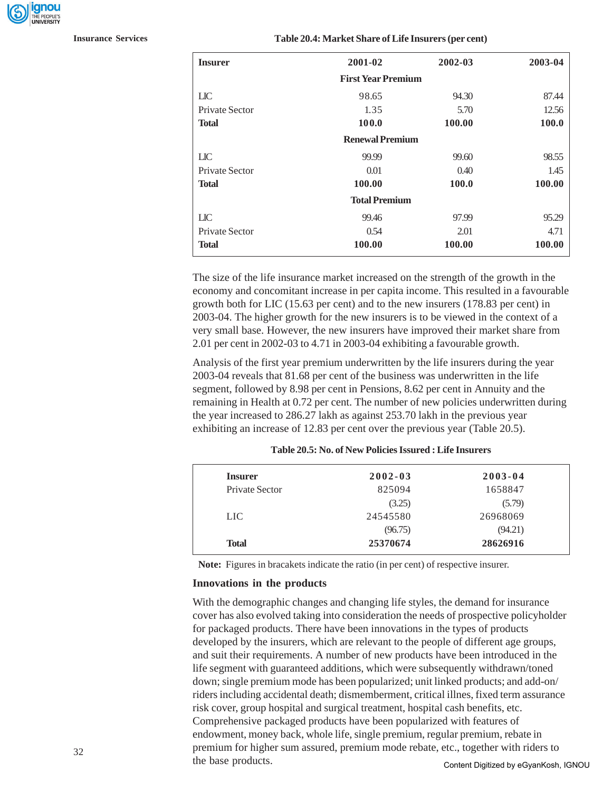**Table 20.4: Market Share of Life Insurers (per cent)**

| <b>Insurer</b>        | 2001-02                   | 2002-03 | 2003-04      |  |  |
|-----------------------|---------------------------|---------|--------------|--|--|
|                       | <b>First Year Premium</b> |         |              |  |  |
| <b>LIC</b>            | 98.65                     | 94.30   | 87.44        |  |  |
| <b>Private Sector</b> | 1.35                      | 5.70    | 12.56        |  |  |
| <b>Total</b>          | 100.0                     | 100.00  | <b>100.0</b> |  |  |
|                       | <b>Renewal Premium</b>    |         |              |  |  |
| $LC$                  | 99.99                     | 99.60   | 98.55        |  |  |
| Private Sector        | 0.01                      | 0.40    | 1.45         |  |  |
| <b>Total</b>          | 100.00                    | 100.0   | 100.00       |  |  |
|                       | <b>Total Premium</b>      |         |              |  |  |
| $LC$                  | 99.46                     | 97.99   | 95.29        |  |  |
| Private Sector        | 0.54                      | 2.01    | 4.71         |  |  |
| <b>Total</b>          | 100.00                    | 100.00  | 100.00       |  |  |

The size of the life insurance market increased on the strength of the growth in the economy and concomitant increase in per capita income. This resulted in a favourable growth both for LIC (15.63 per cent) and to the new insurers (178.83 per cent) in 2003-04. The higher growth for the new insurers is to be viewed in the context of a very small base. However, the new insurers have improved their market share from 2.01 per cent in 2002-03 to 4.71 in 2003-04 exhibiting a favourable growth.

Analysis of the first year premium underwritten by the life insurers during the year 2003-04 reveals that 81.68 per cent of the business was underwritten in the life segment, followed by 8.98 per cent in Pensions, 8.62 per cent in Annuity and the remaining in Health at 0.72 per cent. The number of new policies underwritten during the year increased to 286.27 lakh as against 253.70 lakh in the previous year exhibiting an increase of 12.83 per cent over the previous year (Table 20.5).

| <b>Insurer</b> | $2002 - 03$ | $2003 - 04$ |  |
|----------------|-------------|-------------|--|
| Private Sector | 825094      | 1658847     |  |
|                | (3.25)      | (5.79)      |  |
| LIC.           | 24545580    | 26968069    |  |
|                | (96.75)     | (94.21)     |  |
| <b>Total</b>   | 25370674    | 28626916    |  |
|                |             |             |  |

**Table 20.5: No. of New Policies Issured : Life Insurers**

**Note:** Figures in bracakets indicate the ratio (in per cent) of respective insurer.

#### **Innovations in the products**

With the demographic changes and changing life styles, the demand for insurance cover has also evolved taking into consideration the needs of prospective policyholder for packaged products. There have been innovations in the types of products developed by the insurers, which are relevant to the people of different age groups, and suit their requirements. A number of new products have been introduced in the life segment with guaranteed additions, which were subsequently withdrawn/toned down; single premium mode has been popularized; unit linked products; and add-on/ riders including accidental death; dismemberment, critical illnes, fixed term assurance risk cover, group hospital and surgical treatment, hospital cash benefits, etc. Comprehensive packaged products have been popularized with features of endowment, money back, whole life, single premium, regular premium, rebate in premium for higher sum assured, premium mode rebate, etc., together with riders to the base products.